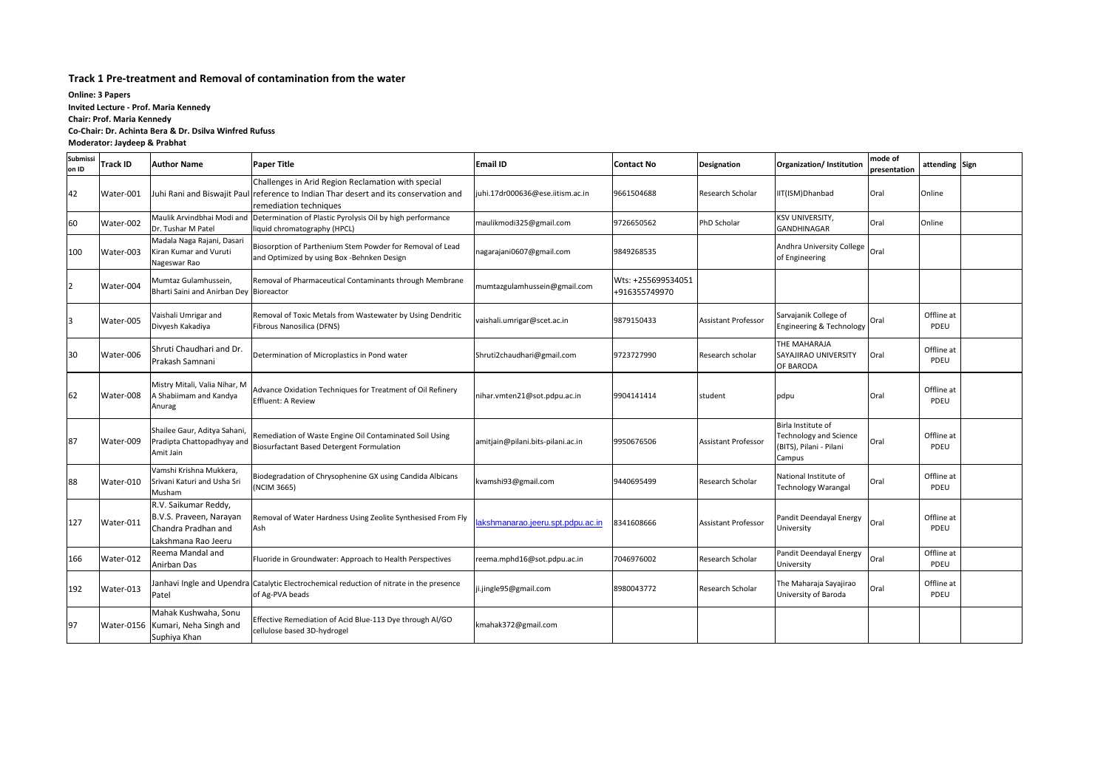#### **Track 1 Pre-treatment and Removal of contamination from the water**

| Submissi<br>on ID | <b>Track ID</b> | <b>Author Name</b>                                                                            | <b>Paper Title</b>                                                                                                                                                   | <b>Email ID</b>                   | <b>Contact No</b>                   | <b>Designation</b>         | Organization/ Institution                                                         | mode of<br>presentation | attending Sign     |  |
|-------------------|-----------------|-----------------------------------------------------------------------------------------------|----------------------------------------------------------------------------------------------------------------------------------------------------------------------|-----------------------------------|-------------------------------------|----------------------------|-----------------------------------------------------------------------------------|-------------------------|--------------------|--|
| 42                | Water-001       |                                                                                               | Challenges in Arid Region Reclamation with special<br>Juhi Rani and Biswajit Paul reference to Indian Thar desert and its conservation and<br>remediation techniques | juhi.17dr000636@ese.iitism.ac.in  | 9661504688                          | Research Scholar           | IIT(ISM)Dhanbad                                                                   | Oral                    | Online             |  |
| 60                | Water-002       | Maulik Arvindbhai Modi and<br>Dr. Tushar M Patel                                              | Determination of Plastic Pyrolysis Oil by high performance<br>liquid chromatography (HPCL)                                                                           | maulikmodi325@gmail.com           | 9726650562                          | PhD Scholar                | <b>KSV UNIVERSITY,</b><br><b>GANDHINAGAR</b>                                      | Oral                    | Online             |  |
| 100               | Water-003       | Madala Naga Rajani, Dasari<br>Kiran Kumar and Vuruti<br>Nageswar Rao                          | Biosorption of Parthenium Stem Powder for Removal of Lead<br>and Optimized by using Box -Behnken Design                                                              | nagarajani0607@gmail.com          | 9849268535                          |                            | Andhra University College<br>of Engineering                                       | Oral                    |                    |  |
|                   | Water-004       | Mumtaz Gulamhussein,<br>Bharti Saini and Anirban Dey Bioreactor                               | Removal of Pharmaceutical Contaminants through Membrane                                                                                                              | mumtazgulamhussein@gmail.com      | Wts: +255699534051<br>+916355749970 |                            |                                                                                   |                         |                    |  |
|                   | Water-005       | Vaishali Umrigar and<br>Divyesh Kakadiya                                                      | Removal of Toxic Metals from Wastewater by Using Dendritic<br>Fibrous Nanosilica (DFNS)                                                                              | vaishali.umrigar@scet.ac.in       | 9879150433                          | <b>Assistant Professor</b> | Sarvajanik College of<br>Engineering & Technology                                 | Oral                    | Offline at<br>PDEU |  |
| 30                | Water-006       | Shruti Chaudhari and Dr.<br>Prakash Samnani                                                   | Determination of Microplastics in Pond water                                                                                                                         | Shruti2chaudhari@gmail.com        | 9723727990                          | Research scholar           | THE MAHARAJA<br>SAYAJIRAO UNIVERSITY<br><b>OF BARODA</b>                          | Oral                    | Offline at<br>PDEU |  |
| 62                | Water-008       | Mistry Mitali, Valia Nihar, M<br>A Shabiimam and Kandya<br>Anurag                             | Advance Oxidation Techniques for Treatment of Oil Refinery<br>Effluent: A Review                                                                                     | nihar.vmten21@sot.pdpu.ac.in      | 9904141414                          | student                    | pdpu                                                                              | Oral                    | Offline at<br>PDEU |  |
| 87                | Water-009       | Shailee Gaur, Aditya Sahani,<br>Pradipta Chattopadhyay and<br>Amit Jain                       | Remediation of Waste Engine Oil Contaminated Soil Using<br>Biosurfactant Based Detergent Formulation                                                                 | amitjain@pilani.bits-pilani.ac.in | 9950676506                          | <b>Assistant Professor</b> | Birla Institute of<br>Technology and Science<br>(BITS), Pilani - Pilani<br>Campus | Oral                    | Offline at<br>PDEU |  |
| 88                | Water-010       | Vamshi Krishna Mukkera,<br>Srivani Katuri and Usha Sri<br>Musham                              | Biodegradation of Chrysophenine GX using Candida Albicans<br>(NCIM 3665)                                                                                             | kvamshi93@gmail.com               | 9440695499                          | Research Scholar           | National Institute of<br>Technology Warangal                                      | Oral                    | Offline at<br>PDEU |  |
| 127               | Water-011       | R.V. Saikumar Reddy,<br>B.V.S. Praveen, Narayan<br>Chandra Pradhan and<br>Lakshmana Rao Jeeru | Removal of Water Hardness Using Zeolite Synthesised From Fly<br>Ash                                                                                                  |                                   |                                     | Assistant Professor        | Pandit Deendayal Energy<br>University                                             | Oral                    | Offline at<br>PDEU |  |
| 166               | Water-012       | Reema Mandal and<br>Anirban Das                                                               | Fluoride in Groundwater: Approach to Health Perspectives                                                                                                             | reema.mphd16@sot.pdpu.ac.in       | 7046976002                          | Research Scholar           | Pandit Deendayal Energy<br>University                                             | Oral                    | Offline at<br>PDEU |  |
| 192               | Water-013       | Patel                                                                                         | Janhavi Ingle and Upendra Catalytic Electrochemical reduction of nitrate in the presence<br>of Ag-PVA beads                                                          | ji.jingle95@gmail.com             | 8980043772                          | Research Scholar           | The Maharaja Sayajirao<br>University of Baroda                                    | Oral                    | Offline at<br>PDEU |  |
| 97                |                 | Mahak Kushwaha, Sonu<br>Water-0156 Kumari, Neha Singh and<br>Suphiya Khan                     | Effective Remediation of Acid Blue-113 Dye through Al/GO<br>cellulose based 3D-hydrogel                                                                              | kmahak372@gmail.com               |                                     |                            |                                                                                   |                         |                    |  |

**Online: 3 Papers Invited Lecture - Prof. Maria Kennedy Chair: Prof. Maria Kennedy Co-Chair: Dr. Achinta Bera & Dr. Dsilva Winfred Rufuss Moderator: Jaydeep & Prabhat**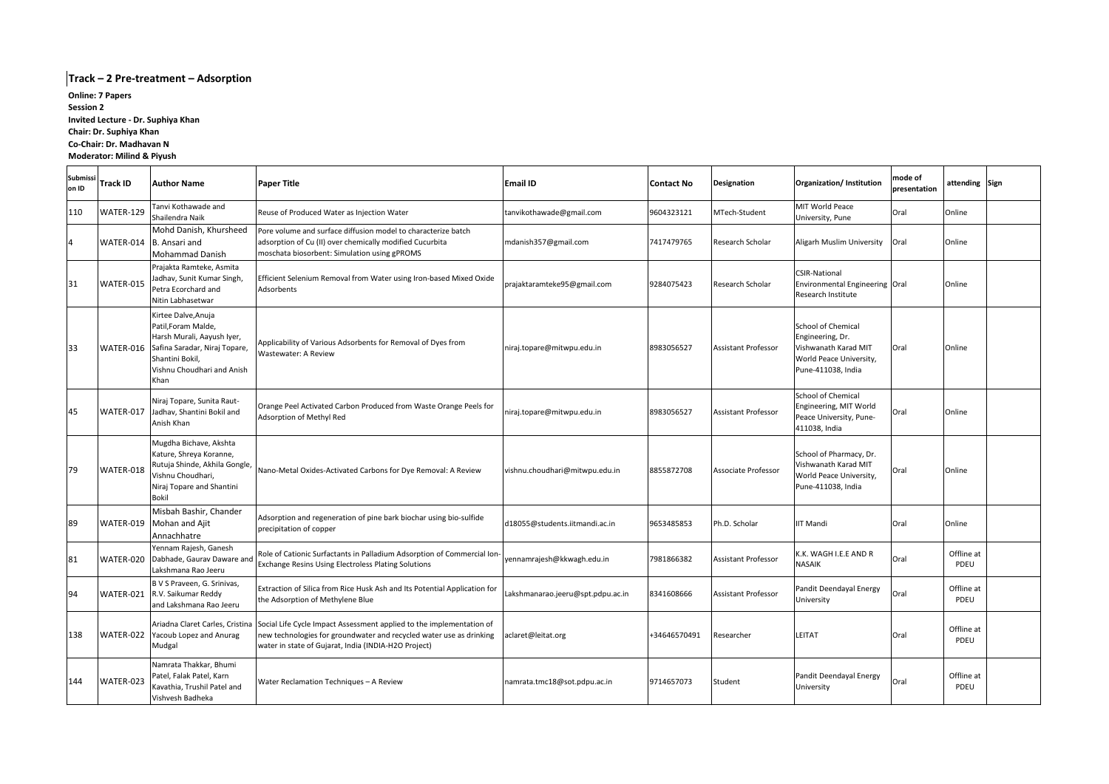| <b>Submissi</b><br>on ID | <b>Track ID</b> | <b>Author Name</b>                                                                                                                                                 | <b>Paper Title</b>                                                                                                                                                                                                                  | <b>Email ID</b>                   | <b>Contact No</b> | <b>Designation</b>         | Organization/ Institution                                                                                       | mode of<br>presentation | attending Sign     |  |
|--------------------------|-----------------|--------------------------------------------------------------------------------------------------------------------------------------------------------------------|-------------------------------------------------------------------------------------------------------------------------------------------------------------------------------------------------------------------------------------|-----------------------------------|-------------------|----------------------------|-----------------------------------------------------------------------------------------------------------------|-------------------------|--------------------|--|
| 110                      | WATER-129       | Tanvi Kothawade and<br>Shailendra Naik                                                                                                                             | Reuse of Produced Water as Injection Water                                                                                                                                                                                          | tanvikothawade@gmail.com          | 9604323121        | MTech-Student              | MIT World Peace<br>University, Pune                                                                             | Oral                    | Online             |  |
| 4                        |                 | Mohd Danish, Khursheed<br>WATER-014 B. Ansari and<br><b>Mohammad Danish</b>                                                                                        | Pore volume and surface diffusion model to characterize batch<br>adsorption of Cu (II) over chemically modified Cucurbita<br>moschata biosorbent: Simulation using gPROMS                                                           | mdanish357@gmail.com              | 7417479765        | Research Scholar           | Aligarh Muslim University                                                                                       | Oral                    | Online             |  |
| 31                       | WATER-015       | Prajakta Ramteke, Asmita<br>Jadhav, Sunit Kumar Singh,<br>Petra Ecorchard and<br>Nitin Labhasetwar                                                                 | Efficient Selenium Removal from Water using Iron-based Mixed Oxide<br>Adsorbents                                                                                                                                                    | prajaktaramteke95@gmail.com       | 9284075423        | Research Scholar           | <b>CSIR-National</b><br>Environmental Engineering Oral<br>Research Institute                                    |                         | Online             |  |
| 33                       | WATER-016       | Kirtee Dalve, Anuja<br>Patil, Foram Malde,<br>Harsh Murali, Aayush Iyer,<br>Safina Saradar, Niraj Topare,<br>Shantini Bokil,<br>Vishnu Choudhari and Anish<br>Khan | Applicability of Various Adsorbents for Removal of Dyes from<br><b>Wastewater: A Review</b>                                                                                                                                         | niraj.topare@mitwpu.edu.in        | 8983056527        | <b>Assistant Professor</b> | School of Chemical<br>Engineering, Dr.<br>Vishwanath Karad MIT<br>World Peace University,<br>Pune-411038, India | Oral                    | <b>I</b> Online    |  |
| 45                       | WATER-017       | Niraj Topare, Sunita Raut-<br>Jadhav, Shantini Bokil and<br>Anish Khan                                                                                             | Orange Peel Activated Carbon Produced from Waste Orange Peels for<br>Adsorption of Methyl Red                                                                                                                                       | niraj.topare@mitwpu.edu.in        | 8983056527        | <b>Assistant Professor</b> | School of Chemical<br>Engineering, MIT World<br>Peace University, Pune-<br>411038, India                        | Oral                    | Online             |  |
| 79                       | WATER-018       | Mugdha Bichave, Akshta<br>Kature, Shreya Koranne,<br>Rutuja Shinde, Akhila Gongle,<br>Vishnu Choudhari,<br>Niraj Topare and Shantini<br><b>Bokil</b>               | Nano-Metal Oxides-Activated Carbons for Dye Removal: A Review                                                                                                                                                                       | vishnu.choudhari@mitwpu.edu.in    | 8855872708        | <b>Associate Professor</b> | School of Pharmacy, Dr.<br>Vishwanath Karad MIT<br>World Peace University,<br>Pune-411038, India                | Oral                    | Online             |  |
| 89                       |                 | Misbah Bashir, Chander<br>WATER-019   Mohan and Ajit<br>Annachhatre                                                                                                | Adsorption and regeneration of pine bark biochar using bio-sulfide<br>precipitation of copper                                                                                                                                       | d18055@students.iitmandi.ac.in    | 9653485853        | Ph.D. Scholar              | <b>IIT Mandi</b>                                                                                                | Oral                    | Online             |  |
| 81                       | WATER-020       | Yennam Rajesh, Ganesh<br>Dabhade, Gaurav Daware and<br>Lakshmana Rao Jeeru                                                                                         | Role of Cationic Surfactants in Palladium Adsorption of Commercial Ion-<br><b>Exchange Resins Using Electroless Plating Solutions</b>                                                                                               | yennamrajesh@kkwagh.edu.in        | 7981866382        | Assistant Professor        | K.K. WAGH I.E.E AND R<br><b>NASAIK</b>                                                                          | Oral                    | Offline at<br>PDEU |  |
| 94                       | WATER-021       | B V S Praveen, G. Srinivas,<br>R.V. Saikumar Reddy<br>and Lakshmana Rao Jeeru                                                                                      | Extraction of Silica from Rice Husk Ash and Its Potential Application for<br>the Adsorption of Methylene Blue                                                                                                                       | Lakshmanarao.jeeru@spt.pdpu.ac.in | 8341608666        | <b>Assistant Professor</b> | Pandit Deendayal Energy<br>University                                                                           | Oral                    | Offline at<br>PDEU |  |
| 138                      |                 | WATER-022 Yacoub Lopez and Anurag<br>Mudgal                                                                                                                        | Ariadna Claret Carles, Cristina Social Life Cycle Impact Assessment applied to the implementation of<br>new technologies for groundwater and recycled water use as drinking<br>water in state of Gujarat, India (INDIA-H2O Project) | aclaret@leitat.org                | +34646570491      | Researcher                 | <b>LEITAT</b>                                                                                                   | Oral                    | Offline at<br>PDEU |  |
| 144                      | WATER-023       | Namrata Thakkar, Bhumi<br>Patel, Falak Patel, Karn<br>Kavathia, Trushil Patel and<br>Vishvesh Badheka                                                              | Water Reclamation Techniques - A Review                                                                                                                                                                                             | namrata.tmc18@sot.pdpu.ac.in      | 9714657073        | Student                    | Pandit Deendayal Energy<br>University                                                                           | Oral                    | Offline at<br>PDEU |  |

# **Track – 2 Pre-treatment – Adsorption**

**Online: 7 Papers Session 2 Invited Lecture - Dr. Suphiya Khan Chair: Dr. Suphiya Khan Co-Chair: Dr. Madhavan N Moderator: Milind & Piyush**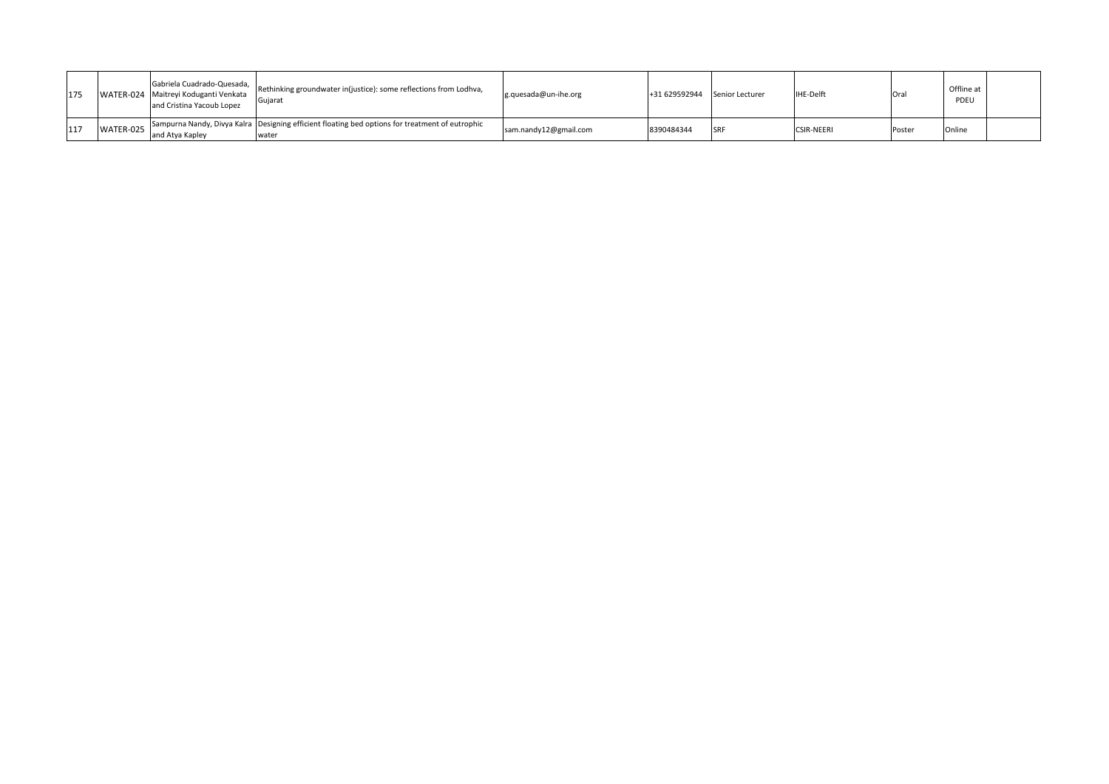| 175 |           | Gabriela Cuadrado-Quesada,  <br>WATER-024 Maitreyi Koduganti Venkata<br>and Cristina Yacoub Lopez | Rethinking groundwater in(justice): some reflections from Lodhva,<br>Gujarat                             | $g.quesada@un-ihe.org$ | +31 629592944 | Senior Lecturer | <b>IHE-Delft</b>  | Ora    | Offline at<br>PDEU |  |
|-----|-----------|---------------------------------------------------------------------------------------------------|----------------------------------------------------------------------------------------------------------|------------------------|---------------|-----------------|-------------------|--------|--------------------|--|
| 117 | WATER-025 | and Atva Kapley                                                                                   | Sampurna Nandy, Divya Kalra Designing efficient floating bed options for treatment of eutrophic<br>water | sam.nandy12@gmail.com  | 8390484344    | <b>SRF</b>      | <b>CSIR-NEERI</b> | Poster | Online             |  |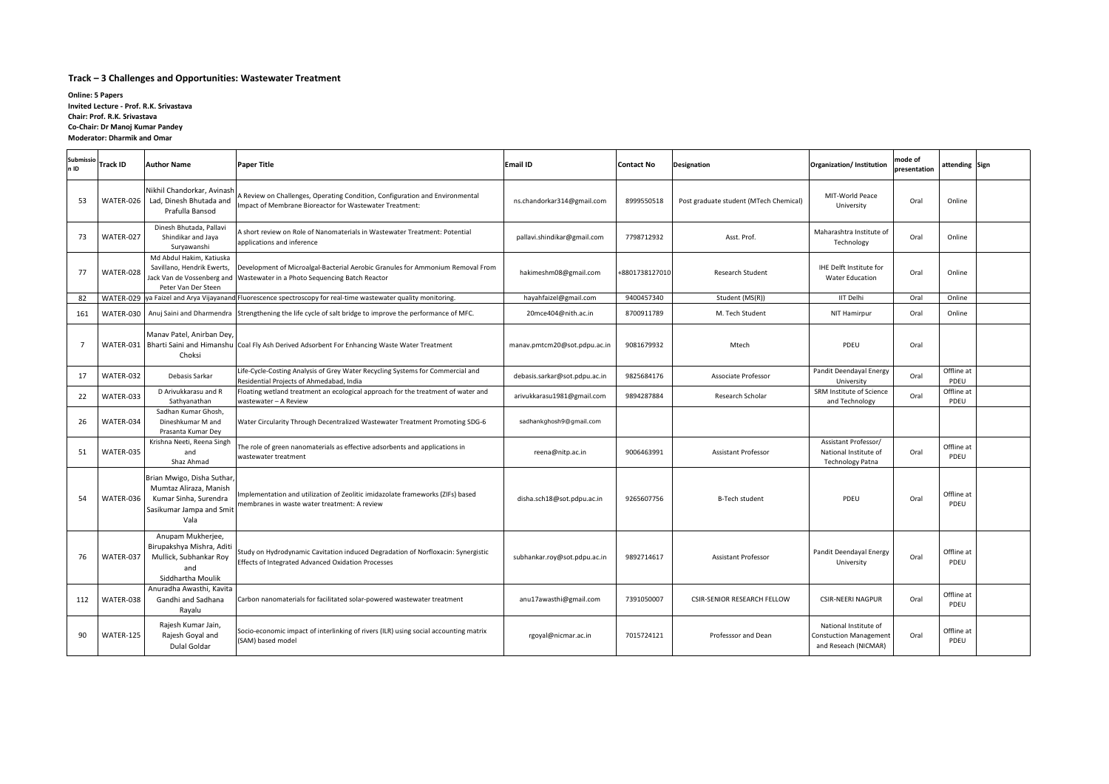#### **Track – 3 Challenges and Opportunities: Wastewater Treatment**

| n ID | <b>Submissio</b> Track ID | <b>Author Name</b>                                                                                                | <b>Paper Title</b>                                                                                                                      | <b>Email ID</b>               | <b>Contact No</b> | Designation                            | Organization/ Institution                                                      | mode of<br>presentation | attending Sign     |  |
|------|---------------------------|-------------------------------------------------------------------------------------------------------------------|-----------------------------------------------------------------------------------------------------------------------------------------|-------------------------------|-------------------|----------------------------------------|--------------------------------------------------------------------------------|-------------------------|--------------------|--|
| 53   |                           | Nikhil Chandorkar, Avinash<br>WATER-026   Lad, Dinesh Bhutada and<br>Prafulla Bansod                              | A Review on Challenges, Operating Condition, Configuration and Environmental<br>Impact of Membrane Bioreactor for Wastewater Treatment: | ns.chandorkar314@gmail.com    | 8999550518        | Post graduate student (MTech Chemical) | MIT-World Peace<br>University                                                  | Oral                    | Online             |  |
| 73   | WATER-027                 | Dinesh Bhutada, Pallavi<br>Shindikar and Jaya<br>Suryawanshi                                                      | A short review on Role of Nanomaterials in Wastewater Treatment: Potential<br>applications and inference                                | pallavi.shindikar@gmail.com   | 7798712932        | Asst. Prof.                            | Maharashtra Institute of<br>Technology                                         | Oral                    | Online             |  |
| 77   | WATER-028                 | Md Abdul Hakim, Katiuska<br>Savillano, Hendrik Ewerts,<br>Jack Van de Vossenberg and<br>Peter Van Der Steen       | Development of Microalgal-Bacterial Aerobic Granules for Ammonium Removal From<br>Wastewater in a Photo Sequencing Batch Reactor        | hakimeshm08@gmail.com         | +8801738127010    | <b>Research Student</b>                | IHE Delft Institute for<br><b>Water Education</b>                              | Oral                    | Online             |  |
| 82   |                           |                                                                                                                   | WATER-029 ya Faizel and Arya Vijayanand Fluorescence spectroscopy for real-time wastewater quality monitoring.                          | hayahfaizel@gmail.com         | 9400457340        | Student (MS(R))                        | <b>IIT Delhi</b>                                                               | Oral                    | Online             |  |
| 161  |                           |                                                                                                                   | WATER-030   Anuj Saini and Dharmendra   Strengthening the life cycle of salt bridge to improve the performance of MFC.                  | 20mce404@nith.ac.in           | 8700911789        | M. Tech Student                        | <b>NIT Hamirpur</b>                                                            | Oral                    | Online             |  |
|      |                           | Manav Patel, Anirban Dey<br>Choksi                                                                                | WATER-031   Bharti Saini and Himanshu   Coal Fly Ash Derived Adsorbent For Enhancing Waste Water Treatment                              | manav.pmtcm20@sot.pdpu.ac.in  | 9081679932        | Mtech                                  | PDEU                                                                           | Oral                    |                    |  |
| 17   | WATER-032                 | Debasis Sarkar                                                                                                    | Life-Cycle-Costing Analysis of Grey Water Recycling Systems for Commercial and<br>Residential Projects of Ahmedabad, India              | debasis.sarkar@sot.pdpu.ac.in | 9825684176        | Associate Professor                    | Pandit Deendayal Energy<br>University                                          | Oral                    | Offline at<br>PDEU |  |
| 22   | WATER-033                 | D Arivukkarasu and R<br>Sathyanathan                                                                              | Floating wetland treatment an ecological approach for the treatment of water and<br>wastewater - A Review                               | arivukkarasu1981@gmail.com    | 9894287884        | Research Scholar                       | SRM Institute of Science<br>and Technology                                     | Oral                    | Offline at<br>PDEU |  |
| 26   | WATER-034                 | Sadhan Kumar Ghosh,<br>Dineshkumar M and<br>Prasanta Kumar Dey                                                    | Water Circularity Through Decentralized Wastewater Treatment Promoting SDG-6                                                            | sadhankghosh9@gmail.com       |                   |                                        |                                                                                |                         |                    |  |
| 51   | WATER-035                 | Krishna Neeti, Reena Singh<br>and<br>Shaz Ahmad                                                                   | The role of green nanomaterials as effective adsorbents and applications in<br>wastewater treatment                                     | reena@nitp.ac.in              | 9006463991        | Assistant Professor                    | Assistant Professor/<br>National Institute of<br><b>Technology Patna</b>       | Oral                    | Offline at<br>PDEU |  |
| 54   | WATER-036                 | Brian Mwigo, Disha Suthar,<br>Mumtaz Aliraza, Manish<br>Kumar Sinha, Surendra<br>Sasikumar Jampa and Smit<br>Vala | Implementation and utilization of Zeolitic imidazolate frameworks (ZIFs) based<br>membranes in waste water treatment: A review          | disha.sch18@sot.pdpu.ac.in    | 9265607756        | <b>B-Tech student</b>                  | PDEU                                                                           | Oral                    | Offline at<br>PDEU |  |
| 76   | WATER-037                 | Anupam Mukherjee,<br>Birupakshya Mishra, Aditi<br>Mullick, Subhankar Roy<br>and<br>Siddhartha Moulik              | Study on Hydrodynamic Cavitation induced Degradation of Norfloxacin: Synergistic<br>Effects of Integrated Advanced Oxidation Processes  | subhankar.roy@sot.pdpu.ac.in  | 9892714617        | <b>Assistant Professor</b>             | Pandit Deendayal Energy<br>University                                          | Oral                    | Offline at<br>PDEU |  |
| 112  | WATER-038                 | Anuradha Awasthi, Kavita<br>Gandhi and Sadhana<br>Rayalu                                                          | Carbon nanomaterials for facilitated solar-powered wastewater treatment                                                                 | anu17awasthi@gmail.com        | 7391050007        | <b>CSIR-SENIOR RESEARCH FELLOW</b>     | <b>CSIR-NEERI NAGPUR</b>                                                       | Oral                    | Offline at<br>PDEU |  |
| 90   | WATER-125                 | Rajesh Kumar Jain,<br>Rajesh Goyal and<br>Dulal Goldar                                                            | Socio-economic impact of interlinking of rivers (ILR) using social accounting matrix<br>(SAM) based model                               | rgoyal@nicmar.ac.in           | 7015724121        | Professsor and Dean                    | National Institute of<br><b>Constuction Management</b><br>and Reseach (NICMAR) | Oral                    | Offline at<br>PDEU |  |

**Online: 5 Papers Invited Lecture - Prof. R.K. Srivastava Chair: Prof. R.K. Srivastava Co-Chair: Dr Manoj Kumar Pandey Moderator: Dharmik and Omar**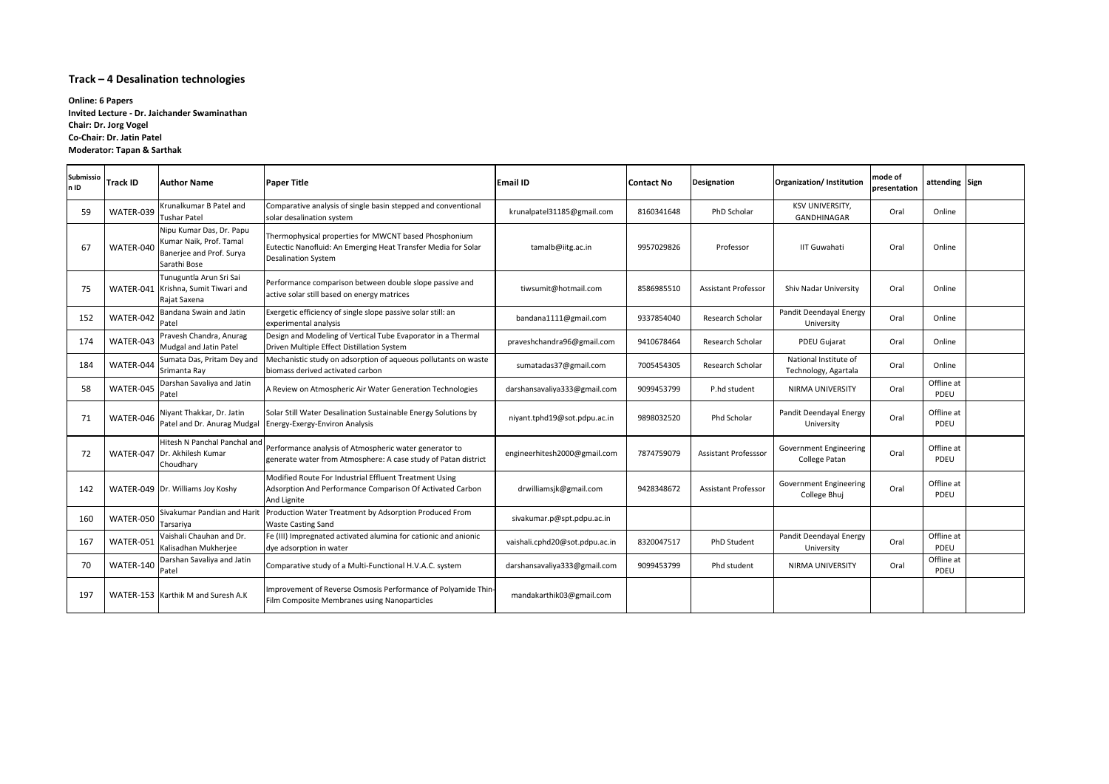# **Track – 4 Desalination technologies**

| Submissio<br>ln ID | <b>Track ID</b> | <b>Author Name</b>                                                                              | <b>Paper Title</b>                                                                                                                                   | <b>Email ID</b>                | <b>Contact No</b> | <b>Designation</b>          | Organization/ Institution                             | mode of<br>presentation | attending Sign     |  |
|--------------------|-----------------|-------------------------------------------------------------------------------------------------|------------------------------------------------------------------------------------------------------------------------------------------------------|--------------------------------|-------------------|-----------------------------|-------------------------------------------------------|-------------------------|--------------------|--|
| -59                | WATER-039       | Krunalkumar B Patel and<br>Tushar Patel                                                         | Comparative analysis of single basin stepped and conventional<br>solar desalination system                                                           | krunalpatel31185@gmail.com     | 8160341648        | PhD Scholar                 | KSV UNIVERSITY,<br>GANDHINAGAR                        | Oral                    | Online             |  |
| 67                 | WATER-040       | Nipu Kumar Das, Dr. Papu<br>Kumar Naik, Prof. Tamal<br>Banerjee and Prof. Surya<br>Sarathi Bose | Thermophysical properties for MWCNT based Phosphonium<br>Eutectic Nanofluid: An Emerging Heat Transfer Media for Solar<br><b>Desalination System</b> | tamalb@iitg.ac.in              | 9957029826        | Professor                   | <b>IIT Guwahati</b>                                   | Oral                    | Online             |  |
| 75                 |                 | Tunuguntla Arun Sri Sai<br>WATER-041 Krishna, Sumit Tiwari and<br>Rajat Saxena                  | Performance comparison between double slope passive and<br>active solar still based on energy matrices                                               | tiwsumit@hotmail.com           | 8586985510        | <b>Assistant Professor</b>  | <b>Shiv Nadar University</b>                          | Oral                    | Online             |  |
| 152                | WATER-042       | Bandana Swain and Jatin<br>Patel                                                                | Exergetic efficiency of single slope passive solar still: an<br>experimental analysis                                                                | bandana1111@gmail.com          | 9337854040        | Research Scholar            | Pandit Deendayal Energy<br>University                 | Oral                    | Online             |  |
| 174                | WATER-043       | Pravesh Chandra, Anurag<br>Mudgal and Jatin Patel                                               | Design and Modeling of Vertical Tube Evaporator in a Thermal<br>Driven Multiple Effect Distillation System                                           | praveshchandra96@gmail.com     | 9410678464        | Research Scholar            | <b>PDEU Gujarat</b>                                   | Oral                    | Online             |  |
| 184                | WATER-044       | Sumata Das, Pritam Dey and<br>Srimanta Ray                                                      | Mechanistic study on adsorption of aqueous pollutants on waste<br>biomass derived activated carbon                                                   | sumatadas37@gmail.com          | 7005454305        | Research Scholar            | National Institute of<br>Technology, Agartala         | Oral                    | Online             |  |
| 58                 | WATER-045       | Darshan Savaliya and Jatin<br>Patel                                                             | A Review on Atmospheric Air Water Generation Technologies                                                                                            | darshansavaliya333@gmail.com   | 9099453799        | P.hd student                | <b>NIRMA UNIVERSITY</b>                               | Oral                    | Offline at<br>PDEU |  |
| 71                 | WATER-046       | Niyant Thakkar, Dr. Jatin                                                                       | Solar Still Water Desalination Sustainable Energy Solutions by<br>Patel and Dr. Anurag Mudgal   Energy-Exergy-Environ Analysis                       | niyant.tphd19@sot.pdpu.ac.in   | 9898032520        | Phd Scholar                 | Pandit Deendayal Energy<br>University                 | Oral                    | Offline at<br>PDEU |  |
| 72                 |                 | Hitesh N Panchal Panchal and<br>WATER-047 Dr. Akhilesh Kumar<br>Choudhary                       | Performance analysis of Atmospheric water generator to<br>generate water from Atmosphere: A case study of Patan district                             | engineerhitesh2000@gmail.com   | 7874759079        | <b>Assistant Professsor</b> | <b>Government Engineering</b><br><b>College Patan</b> | Oral                    | Offline at<br>PDEU |  |
| 142                |                 | WATER-049   Dr. Williams Joy Koshy                                                              | Modified Route For Industrial Effluent Treatment Using<br>Adsorption And Performance Comparison Of Activated Carbon<br>And Lignite                   | drwilliamsjk@gmail.com         | 9428348672        | <b>Assistant Professor</b>  | <b>Government Engineering</b><br>College Bhuj         | Oral                    | Offline at<br>PDEU |  |
| 160                | WATER-050       | Sivakumar Pandian and Harit<br>Tarsariya                                                        | Production Water Treatment by Adsorption Produced From<br><b>Waste Casting Sand</b>                                                                  | sivakumar.p@spt.pdpu.ac.in     |                   |                             |                                                       |                         |                    |  |
| 167                | WATER-051       | Vaishali Chauhan and Dr.<br>Kalisadhan Mukherjee                                                | Fe (III) Impregnated activated alumina for cationic and anionic<br>dye adsorption in water                                                           | vaishali.cphd20@sot.pdpu.ac.in | 8320047517        | PhD Student                 | Pandit Deendayal Energy<br>University                 | Oral                    | Offline at<br>PDEU |  |
| 70                 | WATER-140       | Darshan Savaliya and Jatin<br>Patel                                                             | Comparative study of a Multi-Functional H.V.A.C. system                                                                                              | darshansavaliya333@gmail.com   | 9099453799        | Phd student                 | NIRMA UNIVERSITY                                      | Oral                    | Offline at<br>PDEU |  |
| 197                |                 | WATER-153   Karthik M and Suresh A.K                                                            | Improvement of Reverse Osmosis Performance of Polyamide Thin-<br>Film Composite Membranes using Nanoparticles                                        | mandakarthik03@gmail.com       |                   |                             |                                                       |                         |                    |  |

**Online: 6 Papers Invited Lecture - Dr. Jaichander Swaminathan Chair: Dr. Jorg Vogel Co-Chair: Dr. Jatin Patel Moderator: Tapan & Sarthak**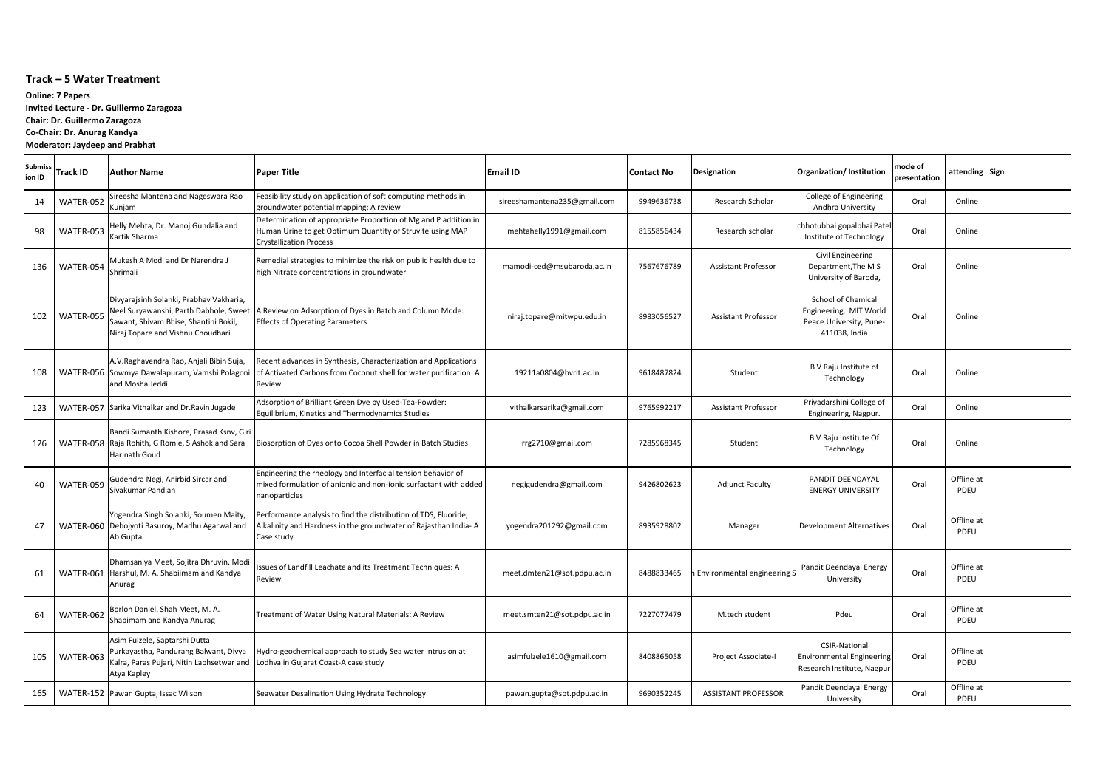# **Track – 5 Water Treatment**

| <b>Submiss</b><br>ion ID | <b>Track ID</b> | lAuthor Name                                                                                                                                                     | <b>Paper Title</b>                                                                                                                                      | <b>Email ID</b>              | <b>Contact No</b> | Designation                 | Organization/Institution                                                                        | mode of<br>presentation | attending Sign     |  |
|--------------------------|-----------------|------------------------------------------------------------------------------------------------------------------------------------------------------------------|---------------------------------------------------------------------------------------------------------------------------------------------------------|------------------------------|-------------------|-----------------------------|-------------------------------------------------------------------------------------------------|-------------------------|--------------------|--|
| 14                       | WATER-052       | Sireesha Mantena and Nageswara Rao<br>Kunjam                                                                                                                     | Feasibility study on application of soft computing methods in<br>groundwater potential mapping: A review                                                | sireeshamantena235@gmail.com | 9949636738        | Research Scholar            | College of Engineering<br>Andhra University                                                     | Oral                    | Online             |  |
| 98                       | WATER-053       | Helly Mehta, Dr. Manoj Gundalia and<br>Kartik Sharma                                                                                                             | Determination of appropriate Proportion of Mg and P addition in<br>Human Urine to get Optimum Quantity of Struvite using MAP<br>Crystallization Process | mehtahelly1991@gmail.com     | 8155856434        | Research scholar            | chhotubhai gopalbhai Patel<br>Institute of Technology                                           | Oral                    | Online             |  |
| 136                      | WATER-054       | Mukesh A Modi and Dr Narendra J<br><b>I</b> Shrimali                                                                                                             | Remedial strategies to minimize the risk on public health due to<br>high Nitrate concentrations in groundwater                                          | mamodi-ced@msubaroda.ac.in   | 7567676789        | <b>Assistant Professor</b>  | <b>Civil Engineering</b><br>Department, The MS<br>University of Baroda,                         | Oral                    | Online             |  |
| 102                      | WATER-055       | Divyarajsinh Solanki, Prabhav Vakharia,<br>Neel Suryawanshi, Parth Dabhole, Sweeti<br>Sawant, Shivam Bhise, Shantini Bokil,<br>Niraj Topare and Vishnu Choudhari | A Review on Adsorption of Dyes in Batch and Column Mode:<br><b>Effects of Operating Parameters</b>                                                      | niraj.topare@mitwpu.edu.in   | 8983056527        | <b>Assistant Professor</b>  | <b>School of Chemical</b><br>Engineering, MIT World<br>Peace University, Pune-<br>411038, India | Oral                    | Online             |  |
| 108                      |                 | A.V. Raghavendra Rao, Anjali Bibin Suja,<br>WATER-056 Sowmya Dawalapuram, Vamshi Polagoni<br>and Mosha Jeddi                                                     | Recent advances in Synthesis, Characterization and Applications<br>of Activated Carbons from Coconut shell for water purification: A<br>Review          | 19211a0804@bvrit.ac.in       | 9618487824        | Student                     | B V Raju Institute of<br>Technology                                                             | Oral                    | Online             |  |
| 123                      |                 | WATER-057 Sarika Vithalkar and Dr. Ravin Jugade                                                                                                                  | Adsorption of Brilliant Green Dye by Used-Tea-Powder:<br>Equilibrium, Kinetics and Thermodynamics Studies                                               | vithalkarsarika@gmail.com    | 9765992217        | <b>Assistant Professor</b>  | Priyadarshini College of<br>Engineering, Nagpur.                                                | Oral                    | Online             |  |
| 126                      |                 | Bandi Sumanth Kishore, Prasad Ksnv, Giri<br>WATER-058 Raja Rohith, G Romie, S Ashok and Sara<br>Harinath Goud                                                    | Biosorption of Dyes onto Cocoa Shell Powder in Batch Studies                                                                                            | rrg2710@gmail.com            | 7285968345        | Student                     | B V Raju Institute Of<br>Technology                                                             | Oral                    | Online             |  |
| 40                       | WATER-059       | Gudendra Negi, Anirbid Sircar and<br>Sivakumar Pandian                                                                                                           | Engineering the rheology and Interfacial tension behavior of<br>mixed formulation of anionic and non-ionic surfactant with added<br>nanoparticles       | negigudendra@gmail.com       | 9426802623        | <b>Adjunct Faculty</b>      | PANDIT DEENDAYAL<br><b>ENERGY UNIVERSITY</b>                                                    | Oral                    | Offline at<br>PDEU |  |
| 47                       |                 | Yogendra Singh Solanki, Soumen Maity,<br>WATER-060   Debojyoti Basuroy, Madhu Agarwal and<br>Ab Gupta                                                            | Performance analysis to find the distribution of TDS, Fluoride,<br>Alkalinity and Hardness in the groundwater of Rajasthan India-A<br>Case study        | yogendra201292@gmail.com     | 8935928802        | Manager                     | <b>Development Alternatives</b>                                                                 | Oral                    | Offline at<br>PDEU |  |
| 61                       |                 | Dhamsaniya Meet, Sojitra Dhruvin, Modi<br>WATER-061 Harshul, M. A. Shabiimam and Kandya<br>Anurag                                                                | Issues of Landfill Leachate and its Treatment Techniques: A<br>Review                                                                                   | meet.dmten21@sot.pdpu.ac.in  | 8488833465        | Environmental engineering S | Pandit Deendayal Energy<br>University                                                           | Oral                    | Offline at<br>PDEU |  |
| 64                       | WATER-062       | Borlon Daniel, Shah Meet, M. A.<br>Shabimam and Kandya Anurag                                                                                                    | Treatment of Water Using Natural Materials: A Review                                                                                                    | meet.smten21@sot.pdpu.ac.in  | 7227077479        | M.tech student              | Pdeu                                                                                            | Oral                    | Offline at<br>PDEU |  |
| 105                      | WATER-063       | Asim Fulzele, Saptarshi Dutta<br>Purkayastha, Pandurang Balwant, Divya<br>Kalra, Paras Pujari, Nitin Labhsetwar and<br>Atya Kapley                               | Hydro-geochemical approach to study Sea water intrusion at<br>Lodhva in Gujarat Coast-A case study                                                      | asimfulzele1610@gmail.com    | 8408865058        | Project Associate-I         | <b>CSIR-National</b><br><b>Environmental Engineering</b><br>Research Institute, Nagpur          | Oral                    | Offline at<br>PDEU |  |
| 165                      |                 | WATER-152 Pawan Gupta, Issac Wilson                                                                                                                              | Seawater Desalination Using Hydrate Technology                                                                                                          | pawan.gupta@spt.pdpu.ac.in   | 9690352245        | <b>ASSISTANT PROFESSOR</b>  | Pandit Deendayal Energy<br>University                                                           | Oral                    | Offline at<br>PDEU |  |

**Online: 7 Papers Invited Lecture - Dr. Guillermo Zaragoza Chair: Dr. Guillermo Zaragoza Co-Chair: Dr. Anurag Kandya Moderator: Jaydeep and Prabhat**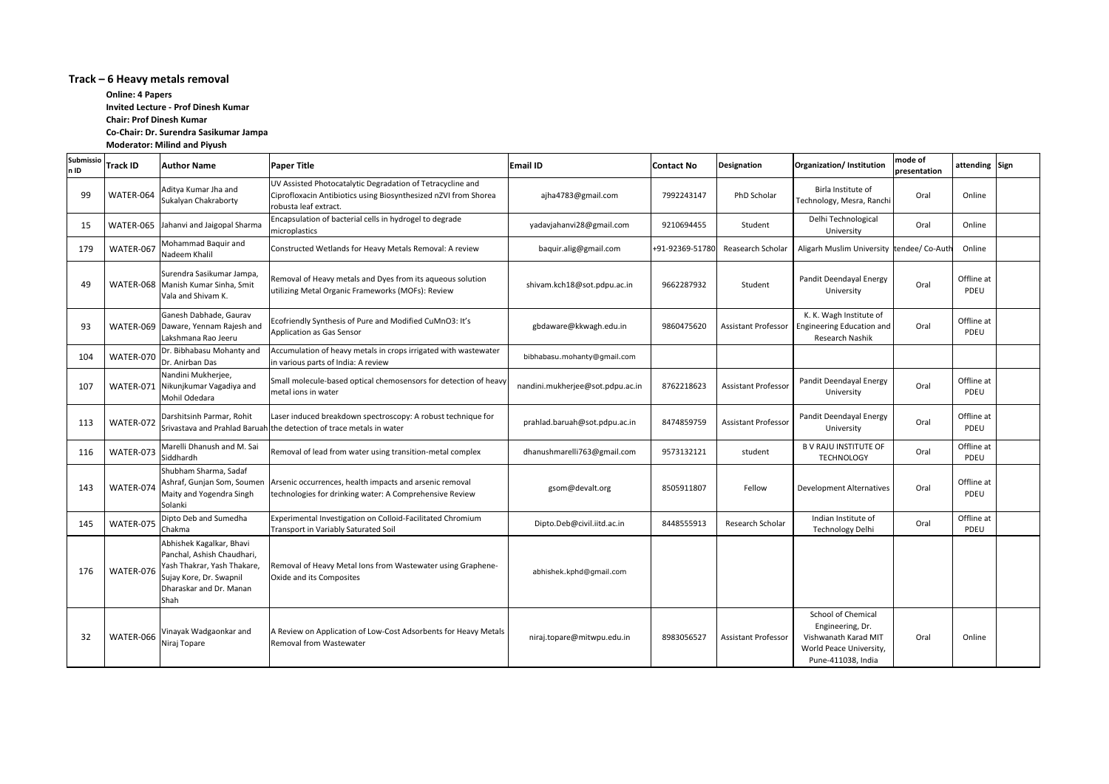# **Track – 6 Heavy metals removal**

| Submissio<br>n ID | <b>Track ID</b> | <b>Author Name</b>                                                                                                                                  | <b>Paper Title</b>                                                                                                                                     | <b>Email ID</b>                  | <b>Contact No</b> | Designation                | Organization/ Institution                                                                                       | mode of<br>presentation | attending Sign     |  |
|-------------------|-----------------|-----------------------------------------------------------------------------------------------------------------------------------------------------|--------------------------------------------------------------------------------------------------------------------------------------------------------|----------------------------------|-------------------|----------------------------|-----------------------------------------------------------------------------------------------------------------|-------------------------|--------------------|--|
| 99                | WATER-064       | Aditya Kumar Jha and<br>Sukalyan Chakraborty                                                                                                        | UV Assisted Photocatalytic Degradation of Tetracycline and<br>Ciprofloxacin Antibiotics using Biosynthesized nZVI from Shorea<br>robusta leaf extract. | ajha4783@gmail.com               | 7992243147        | PhD Scholar                | Birla Institute of<br>Technology, Mesra, Ranchi                                                                 | Oral                    | Online             |  |
| 15                |                 | WATER-065 Jahanvi and Jaigopal Sharma                                                                                                               | Encapsulation of bacterial cells in hydrogel to degrade<br>microplastics                                                                               | yadavjahanvi28@gmail.com         | 9210694455        | Student                    | Delhi Technological<br>University                                                                               | Oral                    | Online             |  |
| 179               | WATER-067       | Mohammad Baquir and<br>Nadeem Khalil                                                                                                                | Constructed Wetlands for Heavy Metals Removal: A review                                                                                                | baquir.alig@gmail.com            | +91-92369-51780   | Reasearch Scholar          | Aligarh Muslim University tendee/ Co-Auth                                                                       |                         | Online             |  |
| 49                |                 | Surendra Sasikumar Jampa,<br>WATER-068   Manish Kumar Sinha, Smit<br>Vala and Shivam K.                                                             | Removal of Heavy metals and Dyes from its aqueous solution<br>utilizing Metal Organic Frameworks (MOFs): Review                                        | shivam.kch18@sot.pdpu.ac.in      | 9662287932        | Student                    | Pandit Deendayal Energy<br>University                                                                           | Oral                    | Offline at<br>PDEU |  |
| 93                |                 | Ganesh Dabhade, Gaurav<br>WATER-069   Daware, Yennam Rajesh and<br>Lakshmana Rao Jeeru                                                              | Ecofriendly Synthesis of Pure and Modified CuMnO3: It's<br>Application as Gas Sensor                                                                   | gbdaware@kkwagh.edu.in           | 9860475620        | <b>Assistant Professor</b> | K. K. Wagh Institute of<br><b>Engineering Education and</b><br>Research Nashik                                  | Oral                    | Offline at<br>PDEU |  |
| 104               | WATER-070       | Dr. Bibhabasu Mohanty and<br>Dr. Anirban Das                                                                                                        | Accumulation of heavy metals in crops irrigated with wastewater<br>in various parts of India: A review                                                 | bibhabasu.mohanty@gmail.com      |                   |                            |                                                                                                                 |                         |                    |  |
| 107               |                 | Nandini Mukherjee,<br>WATER-071 Nikunjkumar Vagadiya and<br>Mohil Odedara                                                                           | Small molecule-based optical chemosensors for detection of heavy<br>metal ions in water                                                                | nandini.mukherjee@sot.pdpu.ac.in | 8762218623        | <b>Assistant Professor</b> | Pandit Deendayal Energy<br>University                                                                           | Oral                    | Offline at<br>PDEU |  |
| 113               | WATER-072       | Darshitsinh Parmar, Rohit                                                                                                                           | Laser induced breakdown spectroscopy: A robust technique for<br>Srivastava and Prahlad Baruah the detection of trace metals in water                   | prahlad.baruah@sot.pdpu.ac.in    | 8474859759        | Assistant Professor        | Pandit Deendayal Energy<br>University                                                                           | Oral                    | Offline at<br>PDEU |  |
| 116               | WATER-073       | Marelli Dhanush and M. Sai<br>Siddhardh                                                                                                             | Removal of lead from water using transition-metal complex                                                                                              | dhanushmarelli763@gmail.com      | 9573132121        | student                    | <b>B V RAJU INSTITUTE OF</b><br><b>TECHNOLOGY</b>                                                               | Oral                    | Offline at<br>PDEU |  |
| 143               | WATER-074       | Shubham Sharma, Sadaf<br>Ashraf, Gunjan Som, Soumen<br>Maity and Yogendra Singh<br>Solanki                                                          | Arsenic occurrences, health impacts and arsenic removal<br>technologies for drinking water: A Comprehensive Review                                     | gsom@devalt.org                  | 8505911807        | Fellow                     | <b>Development Alternatives</b>                                                                                 | Oral                    | Offline at<br>PDEU |  |
| 145               | WATER-075       | Dipto Deb and Sumedha<br>Chakma                                                                                                                     | Experimental Investigation on Colloid-Facilitated Chromium<br>Transport in Variably Saturated Soil                                                     | Dipto.Deb@civil.iitd.ac.in       | 8448555913        | Research Scholar           | Indian Institute of<br><b>Technology Delhi</b>                                                                  | Oral                    | Offline at<br>PDEU |  |
| 176               | WATER-076       | Abhishek Kagalkar, Bhavi<br>Panchal, Ashish Chaudhari,<br>Yash Thakrar, Yash Thakare,<br>Sujay Kore, Dr. Swapnil<br>Dharaskar and Dr. Manan<br>Shah | Removal of Heavy Metal Ions from Wastewater using Graphene-<br>Oxide and its Composites                                                                | abhishek.kphd@gmail.com          |                   |                            |                                                                                                                 |                         |                    |  |
| 32                | WATER-066       | Vinayak Wadgaonkar and<br>Niraj Topare                                                                                                              | A Review on Application of Low-Cost Adsorbents for Heavy Metals<br>Removal from Wastewater                                                             | niraj.topare@mitwpu.edu.in       | 8983056527        | <b>Assistant Professor</b> | School of Chemical<br>Engineering, Dr.<br>Vishwanath Karad MIT<br>World Peace University,<br>Pune-411038, India | Oral                    | Online             |  |

**Online: 4 Papers Invited Lecture - Prof Dinesh Kumar Chair: Prof Dinesh Kumar Co-Chair: Dr. Surendra Sasikumar Jampa Moderator: Milind and Piyush**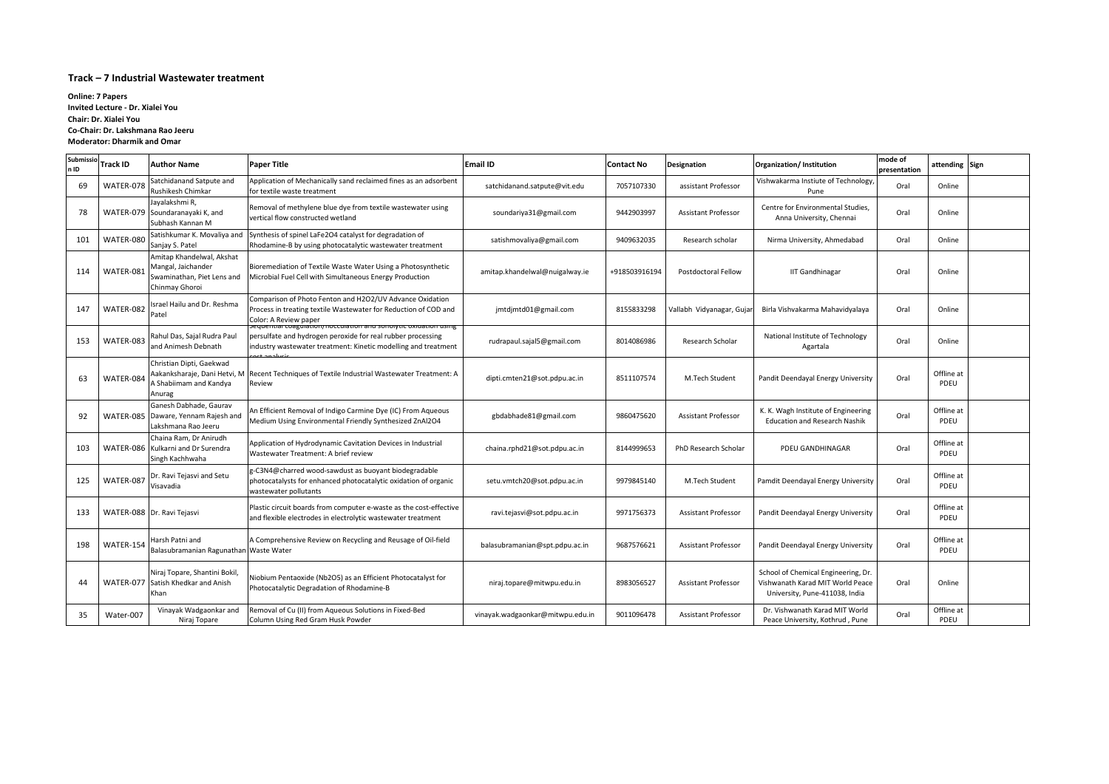# **Track – 7 Industrial Wastewater treatment**

| Submissio<br>n ID | Track ID  | <b>Author Name</b>                                                                              | <b>Paper Title</b>                                                                                                                                                                                | Email ID                         | <b>Contact No</b> | Designation                | Organization/Institution                                                                                  | mode of<br>presentation | attending Sign     |  |
|-------------------|-----------|-------------------------------------------------------------------------------------------------|---------------------------------------------------------------------------------------------------------------------------------------------------------------------------------------------------|----------------------------------|-------------------|----------------------------|-----------------------------------------------------------------------------------------------------------|-------------------------|--------------------|--|
| 69                | WATER-078 | Satchidanand Satpute and<br>Rushikesh Chimkar                                                   | Application of Mechanically sand reclaimed fines as an adsorbent<br>for textile waste treatment                                                                                                   | satchidanand.satpute@vit.edu     | 7057107330        | assistant Professor        | Vishwakarma Instiute of Technology,<br>Pune                                                               | Oral                    | Online             |  |
| 78                |           | Jayalakshmi R,<br>WATER-079 Soundaranayaki K, and<br>Subhash Kannan M                           | Removal of methylene blue dye from textile wastewater using<br>vertical flow constructed wetland                                                                                                  | soundariya31@gmail.com           | 9442903997        | <b>Assistant Professor</b> | Centre for Environmental Studies,<br>Anna University, Chennai                                             | Oral                    | Online             |  |
| 101               | WATER-080 | Satishkumar K. Movaliya and<br>Sanjay S. Patel                                                  | Synthesis of spinel LaFe2O4 catalyst for degradation of<br>Rhodamine-B by using photocatalytic wastewater treatment                                                                               | satishmovaliya@gmail.com         | 9409632035        | Research scholar           | Nirma University, Ahmedabad                                                                               | Oral                    | Online             |  |
| 114               | WATER-081 | Amitap Khandelwal, Akshat<br>Mangal, Jaichander<br>Swaminathan, Piet Lens and<br>Chinmay Ghoroi | Bioremediation of Textile Waste Water Using a Photosynthetic<br>Microbial Fuel Cell with Simultaneous Energy Production                                                                           | amitap.khandelwal@nuigalway.ie   | +918503916194     | Postdoctoral Fellow        | <b>IIT Gandhinagar</b>                                                                                    | Oral                    | Online             |  |
| 147               | WATER-082 | Israel Hailu and Dr. Reshma<br>Patel                                                            | Comparison of Photo Fenton and H2O2/UV Advance Oxidation<br>Process in treating textile Wastewater for Reduction of COD and<br>Color: A Review paper                                              | jmtdjmtd01@gmail.com             | 8155833298        | Vallabh Vidyanagar, Gujar  | Birla Vishvakarma Mahavidyalaya                                                                           | Oral                    | Online             |  |
| 153               | WATER-083 | Rahul Das, Sajal Rudra Paul<br>and Animesh Debnath                                              | equential coagulation) nocculation and sonolytic oxidation using<br>persulfate and hydrogen peroxide for real rubber processing<br>industry wastewater treatment: Kinetic modelling and treatment | rudrapaul.sajal5@gmail.com       | 8014086986        | Research Scholar           | National Institute of Technology<br>Agartala                                                              | Oral                    | Online             |  |
| 63                | WATER-084 | Christian Dipti, Gaekwad<br>A Shabiimam and Kandya<br>Anurag                                    | Aakanksharaje, Dani Hetvi, M Recent Techniques of Textile Industrial Wastewater Treatment: A<br>Review                                                                                            | dipti.cmten21@sot.pdpu.ac.in     | 8511107574        | M.Tech Student             | Pandit Deendayal Energy University                                                                        | Oral                    | Offline at<br>PDEU |  |
| 92                |           | Ganesh Dabhade, Gaurav<br>WATER-085   Daware, Yennam Rajesh and<br>Lakshmana Rao Jeeru          | An Efficient Removal of Indigo Carmine Dye (IC) From Aqueous<br>Medium Using Environmental Friendly Synthesized ZnAl2O4                                                                           | gbdabhade81@gmail.com            | 9860475620        | <b>Assistant Professor</b> | K. K. Wagh Institute of Engineering<br><b>Education and Research Nashik</b>                               | Oral                    | Offline at<br>PDEU |  |
| 103               |           | Chaina Ram, Dr Anirudh<br>WATER-086 Kulkarni and Dr Surendra<br>Singh Kachhwaha                 | Application of Hydrodynamic Cavitation Devices in Industrial<br>Wastewater Treatment: A brief review                                                                                              | chaina.rphd21@sot.pdpu.ac.in     | 8144999653        | PhD Research Scholar       | PDEU GANDHINAGAR                                                                                          | Oral                    | Offline at<br>PDEU |  |
| 125               | WATER-087 | Dr. Ravi Tejasvi and Setu<br>Visavadia                                                          | -C3N4@charred wood-sawdust as buoyant biodegradable<br>photocatalysts for enhanced photocatalytic oxidation of organic<br>wastewater pollutants                                                   | setu.vmtch20@sot.pdpu.ac.in      | 9979845140        | M.Tech Student             | Pamdit Deendayal Energy University                                                                        | Oral                    | Offline at<br>PDEU |  |
| 133               |           | WATER-088   Dr. Ravi Tejasvi                                                                    | Plastic circuit boards from computer e-waste as the cost-effective<br>and flexible electrodes in electrolytic wastewater treatment                                                                | ravi.tejasvi@sot.pdpu.ac.in      | 9971756373        | <b>Assistant Professor</b> | Pandit Deendayal Energy University                                                                        | Oral                    | Offline at<br>PDEU |  |
| 198               | WATER-154 | Harsh Patni and<br>Balasubramanian Ragunathan Waste Water                                       | A Comprehensive Review on Recycling and Reusage of Oil-field                                                                                                                                      | balasubramanian@spt.pdpu.ac.in   | 9687576621        | <b>Assistant Professor</b> | Pandit Deendayal Energy University                                                                        | Oral                    | Offline at<br>PDEU |  |
| 44                |           | Niraj Topare, Shantini Bokil,<br>WATER-077 Satish Khedkar and Anish<br>Khan                     | Niobium Pentaoxide (Nb2O5) as an Efficient Photocatalyst for<br>Photocatalytic Degradation of Rhodamine-B                                                                                         | niraj.topare@mitwpu.edu.in       | 8983056527        | <b>Assistant Professor</b> | School of Chemical Engineering, Dr.<br>Vishwanath Karad MIT World Peace<br>University, Pune-411038, India | Oral                    | Online             |  |
| 35                | Water-007 | Vinayak Wadgaonkar and<br>Niraj Topare                                                          | Removal of Cu (II) from Aqueous Solutions in Fixed-Bed<br>Column Using Red Gram Husk Powder                                                                                                       | vinayak.wadgaonkar@mitwpu.edu.in | 9011096478        | <b>Assistant Professor</b> | Dr. Vishwanath Karad MIT World<br>Peace University, Kothrud, Pune                                         | Oral                    | Offline at<br>PDEU |  |

**Online: 7 Papers Invited Lecture - Dr. Xialei You Chair: Dr. Xialei You Co-Chair: Dr. Lakshmana Rao Jeeru Moderator: Dharmik and Omar**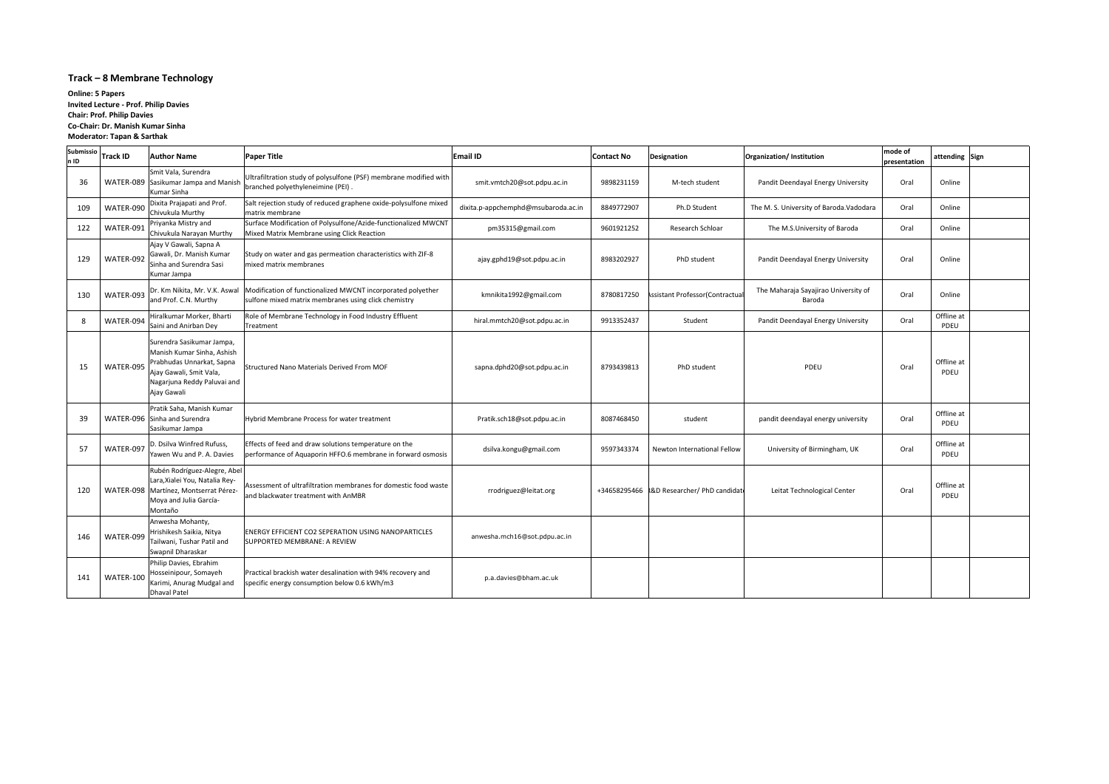# **Track – 8 Membrane Technology**

| Submissio<br>n ID | <b>Track ID</b> | <b>Author Name</b>                                                                                                                                            | <b>Paper Title</b>                                                                                                   | <b>Email ID</b>                     | <b>Contact No</b> | <b>Designation</b>                         | Organization/ Institution                      | mode of<br>presentation | attending Sign     |
|-------------------|-----------------|---------------------------------------------------------------------------------------------------------------------------------------------------------------|----------------------------------------------------------------------------------------------------------------------|-------------------------------------|-------------------|--------------------------------------------|------------------------------------------------|-------------------------|--------------------|
| 36                |                 | Smit Vala, Surendra<br>WATER-089 Sasikumar Jampa and Manisl<br>Kumar Sinha                                                                                    | Ultrafiltration study of polysulfone (PSF) membrane modified with<br>branched polyethyleneimine (PEI).               | smit.vmtch20@sot.pdpu.ac.in         | 9898231159        | M-tech student                             | Pandit Deendayal Energy University             | Oral                    | Online             |
| 109               | WATER-090       | Dixita Prajapati and Prof.<br>Chivukula Murthy                                                                                                                | Salt rejection study of reduced graphene oxide-polysulfone mixed<br>Imatrix membrane                                 | dixita.p-appchemphd@msubaroda.ac.in | 8849772907        | Ph.D Student                               | The M. S. University of Baroda. Vadodara       | Oral                    | Online             |
| 122               | WATER-091       | Priyanka Mistry and<br>Chivukula Narayan Murthy                                                                                                               | Surface Modification of Polysulfone/Azide-functionalized MWCNT<br>Mixed Matrix Membrane using Click Reaction         | pm35315@gmail.com                   | 9601921252        | Research Schloar                           | The M.S.University of Baroda                   | Oral                    | Online             |
| 129               | WATER-092       | Ajay V Gawali, Sapna A<br>Gawali, Dr. Manish Kumar<br>Sinha and Surendra Sasi<br>Kumar Jampa                                                                  | Study on water and gas permeation characteristics with ZIF-8<br>mixed matrix membranes                               | ajay.gphd19@sot.pdpu.ac.in          | 8983202927        | PhD student                                | Pandit Deendayal Energy University             | Oral                    | Online             |
| 130               | WATER-093       | Dr. Km Nikita, Mr. V.K. Aswal<br>and Prof. C.N. Murthy                                                                                                        | Modification of functionalized MWCNT incorporated polyether<br>sulfone mixed matrix membranes using click chemistry  | kmnikita1992@gmail.com              | 8780817250        | ssistant Professor(Contractual             | The Maharaja Sayajirao University of<br>Baroda | Oral                    | Online             |
| -8                | WATER-094       | Hiralkumar Morker, Bharti<br>Saini and Anirban Dey                                                                                                            | Role of Membrane Technology in Food Industry Effluent<br>Treatment                                                   | hiral.mmtch20@sot.pdpu.ac.in        | 9913352437        | Student                                    | Pandit Deendayal Energy University             | Oral                    | Offline at<br>PDEU |
| 15                | WATER-095       | Surendra Sasikumar Jampa,<br>Manish Kumar Sinha, Ashish<br>Prabhudas Unnarkat, Sapna<br>Ajay Gawali, Smit Vala,<br>Nagarjuna Reddy Paluvai and<br>Ajay Gawali | <b>IStructured Nano Materials Derived From MOF</b>                                                                   | sapna.dphd20@sot.pdpu.ac.in         | 8793439813        | PhD student                                | PDEU                                           | Oral                    | Offline at<br>PDEU |
| 39                |                 | Pratik Saha, Manish Kumar<br>WATER-096 Sinha and Surendra<br>Sasikumar Jampa                                                                                  | <b>Hybrid Membrane Process for water treatment</b>                                                                   | Pratik.sch18@sot.pdpu.ac.in         | 8087468450        | student                                    | pandit deendayal energy university             | Oral                    | Offline at<br>PDEU |
| 57                | WATER-097       | D. Dsilva Winfred Rufuss,<br>Yawen Wu and P. A. Davies                                                                                                        | Effects of feed and draw solutions temperature on the<br>performance of Aquaporin HFFO.6 membrane in forward osmosis | dsilva.kongu@gmail.com              | 9597343374        | Newton International Fellow                | University of Birmingham, UK                   | Oral                    | Offline at<br>PDEU |
| 120               |                 | Rubén Rodríguez-Alegre, Abel<br>Lara, Xialei You, Natalia Rey-<br>WATER-098 Martínez, Montserrat Pérez-<br>Moya and Julia García-<br>Montaño                  | Assessment of ultrafiltration membranes for domestic food waste<br>and blackwater treatment with AnMBR               | rrodriguez@leitat.org               |                   | +34658295466 R&D Researcher/ PhD candidate | Leitat Technological Center                    | Oral                    | Offline at<br>PDEU |
| 146               | WATER-099       | Anwesha Mohanty,<br>Hrishikesh Saikia, Nitya<br>Tailwani, Tushar Patil and<br>Swapnil Dharaskar                                                               | <b>ENERGY EFFICIENT CO2 SEPERATION USING NANOPARTICLES</b><br>SUPPORTED MEMBRANE: A REVIEW                           | anwesha.mch16@sot.pdpu.ac.in        |                   |                                            |                                                |                         |                    |
| 141               | WATER-100       | Philip Davies, Ebrahim<br>Hosseinipour, Somayeh<br>Karimi, Anurag Mudgal and<br><b>Dhaval Patel</b>                                                           | Practical brackish water desalination with 94% recovery and<br>specific energy consumption below 0.6 kWh/m3          | p.a.davies@bham.ac.uk               |                   |                                            |                                                |                         |                    |

**Online: 5 Papers Invited Lecture - Prof. Philip Davies Chair: Prof. Philip Davies Co-Chair: Dr. Manish Kumar Sinha Moderator: Tapan & Sarthak**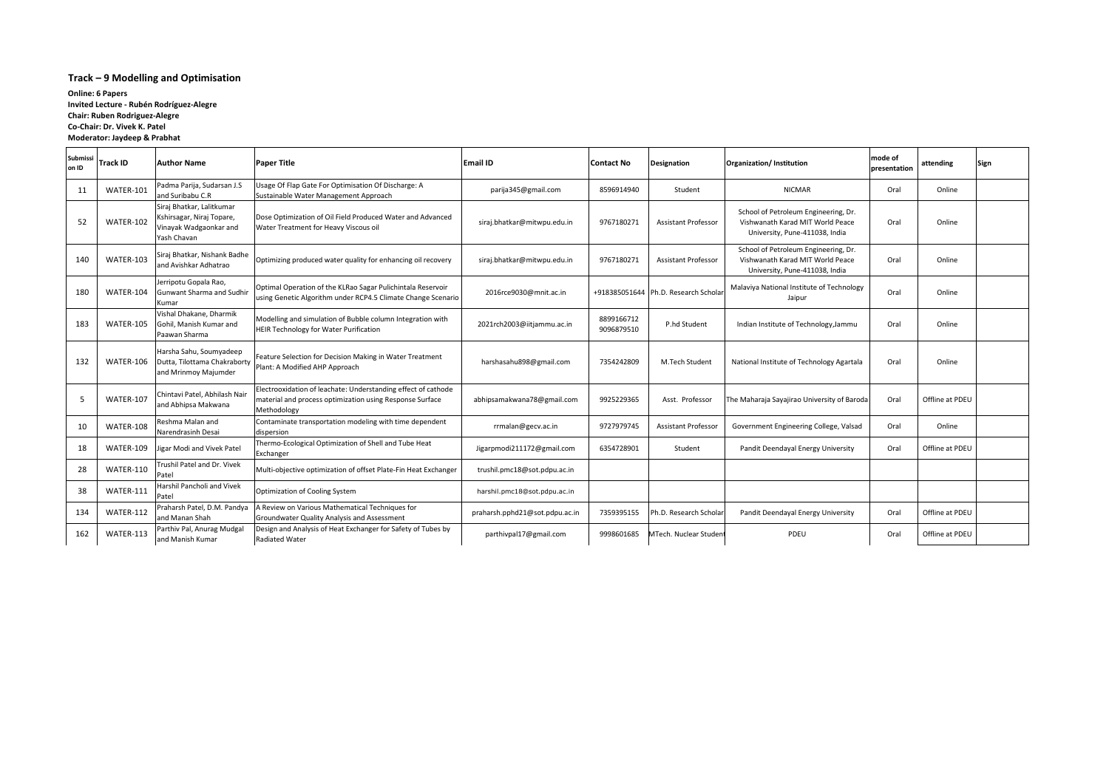# **Track – 9 Modelling and Optimisation**

| <b>Submissi</b><br>on ID | <b>Track ID</b> | lAuthor Name                                                                                    | <b>Paper Title</b>                                                                                                                       | <b>Email ID</b>                | <b>Contact No</b>        | <b>Designation</b>         | Organization/Institution                                                                                   | lmode of<br>presentation | attending       | Sign |
|--------------------------|-----------------|-------------------------------------------------------------------------------------------------|------------------------------------------------------------------------------------------------------------------------------------------|--------------------------------|--------------------------|----------------------------|------------------------------------------------------------------------------------------------------------|--------------------------|-----------------|------|
| 11                       | WATER-101       | Padma Parija, Sudarsan J.S<br>and Suribabu C.R                                                  | Usage Of Flap Gate For Optimisation Of Discharge: A<br>Sustainable Water Management Approach                                             | parija345@gmail.com            | 8596914940               | Student                    | <b>NICMAR</b>                                                                                              | Oral                     | Online          |      |
| 52                       | WATER-102       | Siraj Bhatkar, Lalitkumar<br>Kshirsagar, Niraj Topare,<br>Vinayak Wadgaonkar and<br>Yash Chavan | Dose Optimization of Oil Field Produced Water and Advanced<br>Water Treatment for Heavy Viscous oil                                      | siraj.bhatkar@mitwpu.edu.in    | 9767180271               | <b>Assistant Professor</b> | School of Petroleum Engineering, Dr.<br>Vishwanath Karad MIT World Peace<br>University, Pune-411038, India | Oral                     | Online          |      |
| 140                      | WATER-103       | Siraj Bhatkar, Nishank Badhe<br>and Avishkar Adhatrao                                           | Optimizing produced water quality for enhancing oil recovery                                                                             | siraj.bhatkar@mitwpu.edu.in    | 9767180271               | <b>Assistant Professor</b> | School of Petroleum Engineering, Dr.<br>Vishwanath Karad MIT World Peace<br>University, Pune-411038, India | Oral                     | Online          |      |
| 180                      | WATER-104       | Jerripotu Gopala Rao,<br>Gunwant Sharma and Sudhir<br>Kumar                                     | Optimal Operation of the KLRao Sagar Pulichintala Reservoir<br>using Genetic Algorithm under RCP4.5 Climate Change Scenario              | 2016rce9030@mnit.ac.in         | +918385051644            | Ph.D. Research Schola      | Malaviya National Institute of Technology<br>Jaipur                                                        | Oral                     | Online          |      |
| 183                      | WATER-105       | Vishal Dhakane, Dharmik<br>Gohil, Manish Kumar and<br>Paawan Sharma                             | Modelling and simulation of Bubble column Integration with<br><b>HEIR Technology for Water Purification</b>                              | 2021rch2003@iitjammu.ac.in     | 8899166712<br>9096879510 | P.hd Student               | Indian Institute of Technology, Jammu                                                                      | Oral                     | Online          |      |
| 132                      | WATER-106       | Harsha Sahu, Soumyadeep<br>Dutta, Tilottama Chakraborty<br>and Mrinmoy Majumder                 | Feature Selection for Decision Making in Water Treatment<br>Plant: A Modified AHP Approach                                               | harshasahu898@gmail.com        | 7354242809               | M.Tech Student             | National Institute of Technology Agartala                                                                  | Oral                     | Online          |      |
| 5                        | WATER-107       | Chintavi Patel, Abhilash Nair<br>and Abhipsa Makwana                                            | Electrooxidation of leachate: Understanding effect of cathode<br>material and process optimization using Response Surface<br>Methodology | abhipsamakwana78@gmail.com     | 9925229365               | Asst. Professor            | The Maharaja Sayajirao University of Baroda                                                                | Oral                     | Offline at PDEU |      |
| 10                       | WATER-108       | Reshma Malan and<br>Narendrasinh Desai                                                          | Contaminate transportation modeling with time dependent<br>dispersion                                                                    | rrmalan@gecv.ac.in             | 9727979745               | <b>Assistant Professor</b> | Government Engineering College, Valsad                                                                     | Oral                     | Online          |      |
| 18                       | WATER-109       | ligar Modi and Vivek Patel                                                                      | Thermo-Ecological Optimization of Shell and Tube Heat<br>Exchanger                                                                       | Jigarpmodi211172@gmail.com     | 6354728901               | Student                    | Pandit Deendayal Energy University                                                                         | Oral                     | Offline at PDEU |      |
| 28                       | WATER-110       | Trushil Patel and Dr. Vivek<br>Patel                                                            | Multi-objective optimization of offset Plate-Fin Heat Exchanger                                                                          | trushil.pmc18@sot.pdpu.ac.in   |                          |                            |                                                                                                            |                          |                 |      |
| 38                       | WATER-111       | Harshil Pancholi and Vivek<br>Patel                                                             | Optimization of Cooling System                                                                                                           | harshil.pmc18@sot.pdpu.ac.in   |                          |                            |                                                                                                            |                          |                 |      |
| 134                      | WATER-112       | Praharsh Patel, D.M. Pandya<br>and Manan Shah                                                   | A Review on Various Mathematical Techniques for<br>Groundwater Quality Analysis and Assessment                                           | praharsh.pphd21@sot.pdpu.ac.in | 7359395155               | h.D. Research Schola       | Pandit Deendayal Energy University                                                                         | Oral                     | Offline at PDEU |      |
| 162                      | WATER-113       | Parthiv Pal, Anurag Mudgal<br>and Manish Kumar                                                  | Design and Analysis of Heat Exchanger for Safety of Tubes by<br>Radiated Water                                                           | parthivpal17@gmail.com         | 9998601685               | MTech. Nuclear Studen      | PDEU                                                                                                       | Oral                     | Offline at PDEU |      |

**Online: 6 Papers Invited Lecture - Rubén Rodríguez-Alegre Chair: Ruben Rodriguez-Alegre Co-Chair: Dr. Vivek K. Patel Moderator: Jaydeep & Prabhat**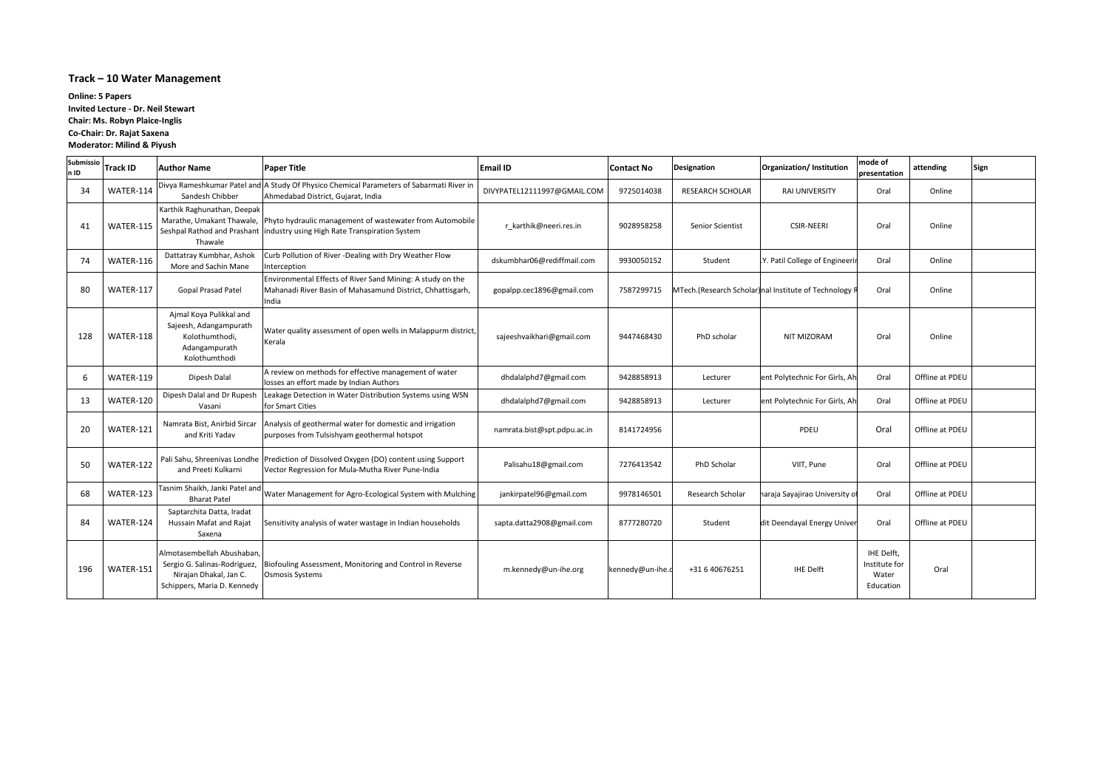# **Track – 10 Water Management**

| Submissio<br>n ID | <b>Track ID</b> | <b>Author Name</b>                                                                                                 | <b>Paper Title</b>                                                                                                                                                | <b>Email ID</b>             | Contact No       | Designation             | Organization/ Institution                            | mode of<br>presentation                           | attending       | Sign |
|-------------------|-----------------|--------------------------------------------------------------------------------------------------------------------|-------------------------------------------------------------------------------------------------------------------------------------------------------------------|-----------------------------|------------------|-------------------------|------------------------------------------------------|---------------------------------------------------|-----------------|------|
| 34                | WATER-114       | Sandesh Chibber                                                                                                    | Divya Rameshkumar Patel and A Study Of Physico Chemical Parameters of Sabarmati River in<br>Ahmedabad District, Gujarat, India                                    | DIVYPATEL12111997@GMAIL.COM | 9725014038       | RESEARCH SCHOLAR        | <b>RAI UNIVERSITY</b>                                | Oral                                              | Online          |      |
| 41                | WATER-115       | Karthik Raghunathan, Deepak<br>Thawale                                                                             | Marathe, Umakant Thawale, Phyto hydraulic management of wastewater from Automobile<br>Seshpal Rathod and Prashant   industry using High Rate Transpiration System | r karthik@neeri.res.in      | 9028958258       | <b>Senior Scientist</b> | <b>CSIR-NEERI</b>                                    | Oral                                              | Online          |      |
| 74                | WATER-116       | Dattatray Kumbhar, Ashok<br>More and Sachin Mane                                                                   | Curb Pollution of River -Dealing with Dry Weather Flow<br>Interception                                                                                            | dskumbhar06@rediffmail.com  | 9930050152       | Student                 | Y. Patil College of Engineeri                        | Oral                                              | Online          |      |
| 80                | WATER-117       | Gopal Prasad Patel                                                                                                 | Environmental Effects of River Sand Mining: A study on the<br>Mahanadi River Basin of Mahasamund District, Chhattisgarh,<br>India                                 | gopalpp.cec1896@gmail.com   | 7587299715       |                         | MTech.(Research Scholar) nal Institute of Technology | Oral                                              | Online          |      |
| 128               | WATER-118       | Ajmal Koya Pulikkal and<br>Sajeesh, Adangampurath<br>Kolothumthodi,<br>Adangampurath<br>Kolothumthodi              | Water quality assessment of open wells in Malappurm district,<br>Kerala                                                                                           | sajeeshvaikhari@gmail.com   | 9447468430       | PhD scholar             | NIT MIZORAM                                          | Oral                                              | Online          |      |
| 6                 | WATER-119       | Dipesh Dalal                                                                                                       | A review on methods for effective management of water<br>losses an effort made by Indian Authors                                                                  | dhdalalphd7@gmail.com       | 9428858913       | Lecturer                | ent Polytechnic For Girls, Ah                        | Oral                                              | Offline at PDEU |      |
| 13                | WATER-120       | Dipesh Dalal and Dr Rupesh<br>Vasani                                                                               | Leakage Detection in Water Distribution Systems using WSN<br>for Smart Cities                                                                                     | dhdalalphd7@gmail.com       | 9428858913       | Lecturer                | ent Polytechnic For Girls, Ah                        | Oral                                              | Offline at PDEU |      |
| 20                | WATER-121       | Namrata Bist, Anirbid Sircar<br>and Kriti Yadav                                                                    | Analysis of geothermal water for domestic and irrigation<br>purposes from Tulsishyam geothermal hotspot                                                           | namrata.bist@spt.pdpu.ac.in | 8141724956       |                         | PDEU                                                 | Oral                                              | Offline at PDEU |      |
| 50                | WATER-122       | and Preeti Kulkarni                                                                                                | Pali Sahu, Shreenivas Londhe Prediction of Dissolved Oxygen (DO) content using Support<br>Vector Regression for Mula-Mutha River Pune-India                       | Palisahu18@gmail.com        | 7276413542       | PhD Scholar             | VIIT, Pune                                           | Oral                                              | Offline at PDEU |      |
| 68                | WATER-123       | Tasnim Shaikh, Janki Patel and<br><b>Bharat Patel</b>                                                              | Water Management for Agro-Ecological System with Mulching                                                                                                         | jankirpatel96@gmail.com     | 9978146501       | Research Scholar        | naraja Sayajirao University o                        | Oral                                              | Offline at PDEU |      |
| 84                | WATER-124       | Saptarchita Datta, Iradat<br>Hussain Mafat and Rajat<br>Saxena                                                     | Sensitivity analysis of water wastage in Indian households                                                                                                        | sapta.datta2908@gmail.com   | 8777280720       | Student                 | dit Deendayal Energy Univer                          | Oral                                              | Offline at PDEU |      |
| 196               | WATER-151       | Almotasembellah Abushaban<br>Sergio G. Salinas-Rodriguez,<br>Nirajan Dhakal, Jan C.<br>Schippers, Maria D. Kennedy | Biofouling Assessment, Monitoring and Control in Reverse<br>Osmosis Systems                                                                                       | m.kennedy@un-ihe.org        | kennedy@un-ihe.c | +31 6 40676251          | <b>IHE Delft</b>                                     | IHE Delft,<br>Institute for<br>Water<br>Education | Oral            |      |

**Online: 5 Papers Invited Lecture - Dr. Neil Stewart Chair: Ms. Robyn Plaice-Inglis Co-Chair: Dr. Rajat Saxena Moderator: Milind & Piyush**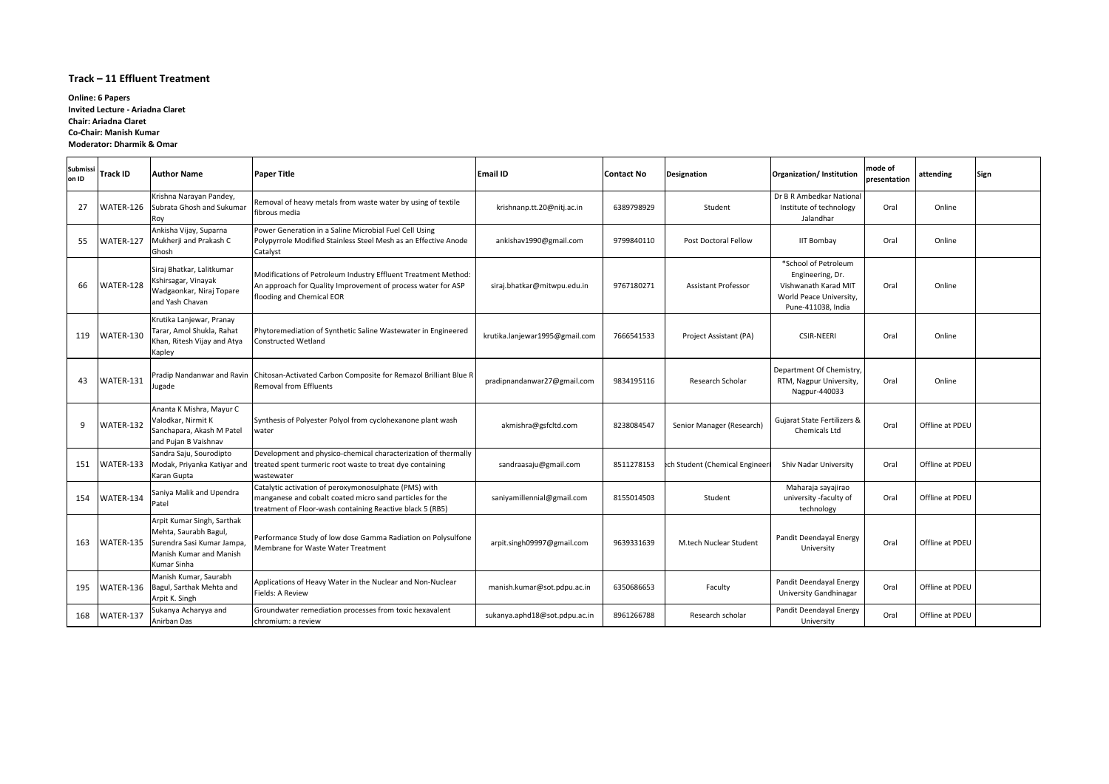#### **Track – 11 Effluent Treatment**

| Submissi<br>on ID | <b>Track ID</b> | <b>Author Name</b>                                                                                                          | <b>Paper Title</b>                                                                                                                                                             | <b>Email ID</b>                | <b>Contact No</b> | <b>Designation</b>             | Organization/Institution                                                                                          | mode of<br>presentation | attending       | Sign |
|-------------------|-----------------|-----------------------------------------------------------------------------------------------------------------------------|--------------------------------------------------------------------------------------------------------------------------------------------------------------------------------|--------------------------------|-------------------|--------------------------------|-------------------------------------------------------------------------------------------------------------------|-------------------------|-----------------|------|
| -27               |                 | Krishna Narayan Pandey,<br>WATER-126 Subrata Ghosh and Sukumar<br>Roy                                                       | Removal of heavy metals from waste water by using of textile<br>fibrous media                                                                                                  | krishnanp.tt.20@nitj.ac.in     | 6389798929        | Student                        | Dr B R Ambedkar National<br>Institute of technology<br>Jalandhar                                                  | Oral                    | Online          |      |
| 55                | WATER-127       | Ankisha Vijay, Suparna<br>Mukherji and Prakash C<br><b>Ghosh</b>                                                            | Power Generation in a Saline Microbial Fuel Cell Using<br>Polypyrrole Modified Stainless Steel Mesh as an Effective Anode<br>Catalyst                                          | ankishav1990@gmail.com         | 9799840110        | Post Doctoral Fellow           | <b>IIT Bombay</b>                                                                                                 | Oral                    | Online          |      |
| 66                | WATER-128       | Siraj Bhatkar, Lalitkumar<br>Kshirsagar, Vinayak<br>Wadgaonkar, Niraj Topare<br>and Yash Chavan                             | Modifications of Petroleum Industry Effluent Treatment Method:<br>An approach for Quality Improvement of process water for ASP<br>flooding and Chemical EOR                    | siraj.bhatkar@mitwpu.edu.in    | 9767180271        | <b>Assistant Professor</b>     | *School of Petroleum<br>Engineering, Dr.<br>Vishwanath Karad MIT<br>World Peace University,<br>Pune-411038, India | Oral                    | Online          |      |
| 119               | WATER-130       | Krutika Lanjewar, Pranay<br>Tarar, Amol Shukla, Rahat<br>Khan, Ritesh Vijay and Atya<br>Kapley                              | Phytoremediation of Synthetic Saline Wastewater in Engineered<br><b>Constructed Wetland</b>                                                                                    | krutika.lanjewar1995@gmail.com | 7666541533        | Project Assistant (PA)         | <b>CSIR-NEERI</b>                                                                                                 | Oral                    | Online          |      |
| 43                | WATER-131       | Jugade                                                                                                                      | Pradip Nandanwar and Ravin Chitosan-Activated Carbon Composite for Remazol Brilliant Blue R<br><b>Removal from Effluents</b>                                                   | pradipnandanwar27@gmail.com    | 9834195116        | Research Scholar               | Department Of Chemistry,<br>RTM, Nagpur University,<br>Nagpur-440033                                              | Oral                    | Online          |      |
| 9                 | WATER-132       | Ananta K Mishra, Mayur C<br>Valodkar, Nirmit K<br>Sanchapara, Akash M Patel<br>and Pujan B Vaishnav                         | Synthesis of Polyester Polyol from cyclohexanone plant wash<br>water                                                                                                           | akmishra@gsfcltd.com           | 8238084547        | Senior Manager (Research)      | Gujarat State Fertilizers &<br><b>Chemicals Ltd</b>                                                               | Oral                    | Offline at PDEU |      |
| 151               | WATER-133       | Sandra Saju, Sourodipto<br>Modak, Priyanka Katiyar and<br>Karan Gupta                                                       | Development and physico-chemical characterization of thermally<br>treated spent turmeric root waste to treat dye containing<br>wastewater                                      | sandraasaju@gmail.com          | 8511278153        | ech Student (Chemical Engineer | Shiv Nadar University                                                                                             | Oral                    | Offline at PDEU |      |
| 154               | WATER-134       | Saniya Malik and Upendra<br>Patel                                                                                           | Catalytic activation of peroxymonosulphate (PMS) with<br>manganese and cobalt coated micro sand particles for the<br>treatment of Floor-wash containing Reactive black 5 (RB5) | saniyamillennial@gmail.com     | 8155014503        | Student                        | Maharaja sayajirao<br>university -faculty of<br>technology                                                        | Oral                    | Offline at PDEU |      |
| 163               | WATER-135       | Arpit Kumar Singh, Sarthak<br>Mehta, Saurabh Bagul,<br>Surendra Sasi Kumar Jampa,<br>Manish Kumar and Manish<br>Kumar Sinha | Performance Study of low dose Gamma Radiation on Polysulfone<br>Membrane for Waste Water Treatment                                                                             | arpit.singh09997@gmail.com     | 9639331639        | M.tech Nuclear Student         | Pandit Deendayal Energy<br>University                                                                             | Oral                    | Offline at PDEU |      |
| 195               |                 | Manish Kumar, Saurabh<br>WATER-136   Bagul, Sarthak Mehta and<br>Arpit K. Singh                                             | Applications of Heavy Water in the Nuclear and Non-Nuclear<br>Fields: A Review                                                                                                 | manish.kumar@sot.pdpu.ac.in    | 6350686653        | Faculty                        | Pandit Deendayal Energy<br>University Gandhinagar                                                                 | Oral                    | Offline at PDEU |      |
| 168               | WATER-137       | Sukanya Acharyya and<br>Anirban Das                                                                                         | Groundwater remediation processes from toxic hexavalent<br>chromium: a review                                                                                                  | sukanya.aphd18@sot.pdpu.ac.in  | 8961266788        | Research scholar               | Pandit Deendayal Energy<br>University                                                                             | Oral                    | Offline at PDEU |      |

**Online: 6 Papers Invited Lecture - Ariadna Claret Chair: Ariadna Claret Co-Chair: Manish Kumar Moderator: Dharmik & Omar**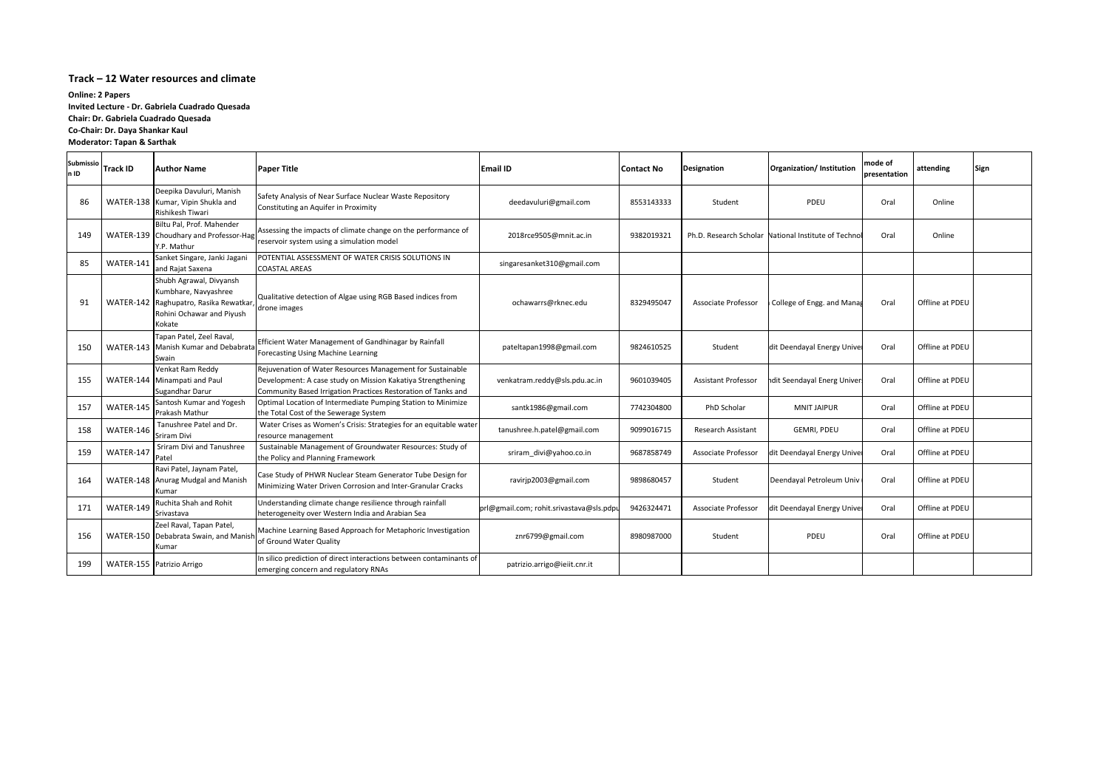#### **Track – 12 Water resources and climate**

| <b>Submissio</b><br>n ID | <b>Track ID</b> | <b>Author Name</b>                                                                                                              | <b>Paper Title</b>                                                                                                                                                                         | <b>Email ID</b>                          | <b>Contact No</b> | <b>Designation</b>         | Organization/ Institution                            | mode of<br>presentation | attending       | Sign |
|--------------------------|-----------------|---------------------------------------------------------------------------------------------------------------------------------|--------------------------------------------------------------------------------------------------------------------------------------------------------------------------------------------|------------------------------------------|-------------------|----------------------------|------------------------------------------------------|-------------------------|-----------------|------|
| 86                       |                 | Deepika Davuluri, Manish<br>WATER-138 Kumar, Vipin Shukla and<br>Rishikesh Tiwari                                               | Safety Analysis of Near Surface Nuclear Waste Repository<br>Constituting an Aquifer in Proximity                                                                                           | deedavuluri@gmail.com                    | 8553143333        | Student                    | <b>PDEU</b>                                          | Oral                    | Online          |      |
| 149                      |                 | Biltu Pal, Prof. Mahender<br>WATER-139 Choudhary and Professor-Hag<br>Y.P. Mathur                                               | Assessing the impacts of climate change on the performance of<br>reservoir system using a simulation model                                                                                 | 2018rce9505@mnit.ac.in                   | 9382019321        |                            | Ph.D. Research Scholar National Institute of Technol | Oral                    | Online          |      |
| 85                       | WATER-141       | Sanket Singare, Janki Jagani<br>and Rajat Saxena                                                                                | POTENTIAL ASSESSMENT OF WATER CRISIS SOLUTIONS IN<br><b>COASTAL AREAS</b>                                                                                                                  | singaresanket310@gmail.com               |                   |                            |                                                      |                         |                 |      |
| 91                       |                 | Shubh Agrawal, Divyansh<br>Kumbhare, Navyashree<br>WATER-142 Raghupatro, Rasika Rewatkar<br>Rohini Ochawar and Piyush<br>Kokate | Qualitative detection of Algae using RGB Based indices from<br>drone images                                                                                                                | ochawarrs@rknec.edu                      | 8329495047        | Associate Professor        | College of Engg. and Manag                           | Oral                    | Offline at PDEU |      |
| 150                      |                 | Tapan Patel, Zeel Raval,<br>WATER-143 Manish Kumar and Debabrat<br>Swain                                                        | Efficient Water Management of Gandhinagar by Rainfall<br>Forecasting Using Machine Learning                                                                                                | pateltapan1998@gmail.com                 | 9824610525        | Student                    | dit Deendayal Energy Univer                          | Oral                    | Offline at PDEU |      |
| 155                      |                 | Venkat Ram Reddy<br>WATER-144 Minampati and Paul<br>Sugandhar Darur                                                             | Rejuvenation of Water Resources Management for Sustainable<br>Development: A case study on Mission Kakatiya Strengthening<br>Community Based Irrigation Practices Restoration of Tanks and | venkatram.reddy@sls.pdu.ac.in            | 9601039405        | <b>Assistant Professor</b> | ndit Seendayal Energ Univer                          | Oral                    | Offline at PDEU |      |
| 157                      | WATER-145       | Santosh Kumar and Yogesh<br>Prakash Mathur                                                                                      | Optimal Location of Intermediate Pumping Station to Minimize<br>the Total Cost of the Sewerage System                                                                                      | santk1986@gmail.com                      | 7742304800        | PhD Scholar                | <b>MNIT JAIPUR</b>                                   | Oral                    | Offline at PDEU |      |
| 158                      | WATER-146       | Tanushree Patel and Dr.<br>Sriram Divi                                                                                          | Water Crises as Women's Crisis: Strategies for an equitable water<br>resource management                                                                                                   | tanushree.h.patel@gmail.com              | 9099016715        | Research Assistant         | GEMRI, PDEU                                          | Oral                    | Offline at PDEU |      |
| 159                      | WATER-147       | Sriram Divi and Tanushree<br>Patel                                                                                              | Sustainable Management of Groundwater Resources: Study of<br>the Policy and Planning Framework                                                                                             | sriram_divi@yahoo.co.in                  | 9687858749        | Associate Professor        | dit Deendayal Energy Univer                          | Oral                    | Offline at PDEU |      |
| 164                      |                 | Ravi Patel, Jaynam Patel,<br>WATER-148 Anurag Mudgal and Manish<br>Kumar                                                        | Case Study of PHWR Nuclear Steam Generator Tube Design for<br>Minimizing Water Driven Corrosion and Inter-Granular Cracks                                                                  | ravirjp2003@gmail.com                    | 9898680457        | Student                    | Deendayal Petroleum Univ                             | Oral                    | Offline at PDEU |      |
| 171                      | WATER-149       | Ruchita Shah and Rohit<br>Srivastava                                                                                            | Understanding climate change resilience through rainfall<br>heterogeneity over Western India and Arabian Sea                                                                               | prl@gmail.com; rohit.srivastava@sls.pdpu | 9426324471        | Associate Professor        | dit Deendayal Energy Univer                          | Oral                    | Offline at PDEU |      |
| 156                      |                 | Zeel Raval, Tapan Patel,<br>WATER-150 Debabrata Swain, and Manis<br>Kumar                                                       | Machine Learning Based Approach for Metaphoric Investigation<br>of Ground Water Quality                                                                                                    | znr6799@gmail.com                        | 8980987000        | Student                    | <b>PDEU</b>                                          | Oral                    | Offline at PDEU |      |
| 199                      |                 | WATER-155 Patrizio Arrigo                                                                                                       | In silico prediction of direct interactions between contaminants of<br>emerging concern and regulatory RNAs                                                                                | patrizio.arrigo@ieiit.cnr.it             |                   |                            |                                                      |                         |                 |      |

**Online: 2 Papers Invited Lecture - Dr. Gabriela Cuadrado Quesada Chair: Dr. Gabriela Cuadrado Quesada Co-Chair: Dr. Daya Shankar Kaul Moderator: Tapan & Sarthak**